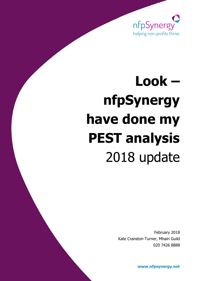

# **Look – nfpSynergy have done my PEST analysis** 2018 update

February 2018 Kate Cranston-Turner, Mhairi Guild 020 7426 8888

**[www.nfpsynergy.net](http://www.nfpsynergy.net/)**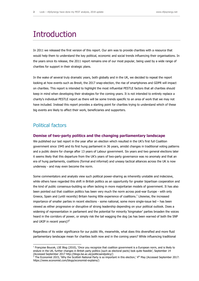## **Introduction**

In 2011 we released the first version of this report. Our aim was to provide charities with a resource that would help them to understand the key political, economic and social trends influencing their organisations. In the years since its release, the 2011 report remains one of our most popular, being used by a wide range of charities for support in their strategic plans.

In the wake of several truly dramatic years, both globally and in the UK, we decided to repeat the report looking at how events such as Brexit, the 2017 snap-election, the rise of smartphones and GDPR will impact on charities. This report is intended to highlight the most influential PESTLE factors that all charities should keep in mind when developing their strategies for the coming years. It is not intended to entirely replace a charity's individual PESTLE report as there will be some trends specific to an area of work that we may not have included. Instead this report provides a starting point for charities trying to understand which of these big events are likely to affect their work, beneficiaries and supporters.

## Political factors

-

#### **Demise of two-party politics and the changing parliamentary landscape**

We published our last report in the year after an election which resulted in the UK's first full Coalition government since 1945 and its first hung parliament in 36 years, amidst changes in traditional voting patterns and a public desire for change after 13 years of Labour government. Six years and two general elections later it seems likely that this departure from the UK's years of two-party governance was no anomaly and that an era of hung parliaments, coalitions (formal and informal) and uneasy tactical alliances across the UK is now underway - and may even become the norm.

Some commentators and analysts view such political power-sharing as inherently unstable and indecisive, while others have regarded this shift in British politics as an opportunity for greater bipartisan cooperation and the kind of public consensus-building so often lacking in more majoritarian models of government. It has also been pointed out that coalition politics has been very much the norm across post-war Europe - with only Greece, Spain and (until recently) Britain having little experience of coalitions.<sup>1</sup> Likewise, the increased importance of smaller parties in recent elections - some national, some more single-issue led – has been viewed as either progressive or disruptive of strong leadership depending on your political outlook. Does a widening of representation in parliament and the potential for minority 'kingmaker' parties broaden the voices heard in the corridors of power, or simply risk the tail wagging the dog (as has been warned of both the SNP and UKIP in recent years)?<sup>2</sup>

Regardless of its wider significance for our public life, meanwhile, what does this diversified and more fluid parliamentary landscape mean for charities both now and in the coming years? While influencing traditional

<sup>&</sup>lt;sup>1</sup> Françoise Boucek, LSE Blog (2010), 'Once you recognize that coalition government is a European norm, and is likely to endure in the UK, further changes in British party politics (such as electoral pacts) look quite feasible', September 14 (Accessed September 2017 http://blogs.lse.ac.uk/politicsandpolicy/)

 $^2$  The Economist 2015, 'Why the Scottish National Party is so important in this election,' 4th May (Accessed September 2017: https://www.economist.com/blogs/economist-explains/)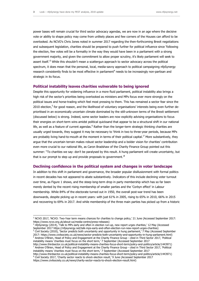power bases will remain crucial for third sector advocacy agendas, we are now in an age where the decisive vote or ability to shape policy may come from unlikely places and few corners of the Houses can afford to be overlooked. As NCVO's Chris Jones noted in summer 2017 regarding the then-forthcoming Brexit negotiations and subsequent legislation, charities should be prepared to push further for political influence since 'following the election, few votes will be a formality in the way they would have been in a parliament with a strong government majority, and given the commitment to allow proper scrutiny, it's likely parliament will seek to assert itself.<sup>3</sup> While this shouldn't mean a scattergun approach to sector advocacy across the political spectrum, it does mean that the personal, local, media-savvy approach to political campaigning nfpSynergy research consistently finds to be most effective in parliament<sup>4</sup> needs to be increasingly non-partisan and strategic in its focus.

#### **Political instability leaves charities vulnerable to being ignored**

Despite this opportunity for widening influence in a more fluid parliament, political instability also brings a high risk of the sector's priorities being overlooked as ministers and MPs focus ever more strongly on the political issues and horse-trading which feel most pressing to them. This has remained a sector fear since the 2010 election,<sup>5</sup> for good reason, and the likelihood of voluntary organisations' interests being even further deprioritised in an economically uncertain climate dominated by the still-unknown terms of the Brexit settlement (discussed below) is strong. Indeed, some sector leaders are now explicitly advising organisations to focus their energies on short-term wins amidst political quicksand that appear to be a structural shift in our national life, as well as a feature of current agendas.<sup>6</sup> Rather than the longer-term strategic thinking charities are usually urged towards, they suggest it may be necessary to 'think in two to three-year periods, because MPs are probably living hand-to-mouth at the moment in terms of their political capital.<sup>7</sup> More substantively, they argue that the uncertain terrain makes robust sector leadership and a bolder vision for charities' contribution even more crucial to our national life, as Caron Bradshaw of the Charity Finance Group pointed out this summer: "To charities we say: don't be paralysed by this result. A hung parliament will create uncertainty, but that is our prompt to step up and provide proposals to government.<sup>8</sup>

#### **Declining confidence in the political system and changes in voter landscape**

In addition to this shift in parliament and governance, the broader popular disillusionment with formal politics in recent decades has not appeared to abate substantively. Indicators of this include declining voter turnout over time, as Figure 1 shows, and the steep long-term drop in party membership which has so far been merely dented by the recent rising membership of smaller parties and the 'Corbyn effect' in Labour membership. While 84% of the electorate turned out in 1950, the overall post-war trend has been downwards, despite picking up in recent years: with just 61% in 2005, rising to 65% in 2010, 66% in 2015 and recovering to 69% in 2017. And while membership of the three main parties has picked up from a historic

4 nfpSynergy (2014), 'Talk to MPs early and often in election run-up, new report urges charities,' 12 May (Accessed September 2017 https://nfpsynergy.net/talk-mps-early-and-often-election-run-new-report-urges-charities)

-

<sup>5</sup> Civil Society (2010), 'Sector predicts both uncertainty and opportunity in hung parliament,' 7 May (Accessed September 2017: https://www.civilsociety.co.uk/news/sector-predicts-both-uncertainty-and-opportunity-in-hung-parliament.html) <sup>6</sup> Andrew O'Brien, Head of Policy and Engagement at the Charity Finance Group - cited in Third Sector 2017, 'Political instability means 'charities must focus on the short term,' 7 September (Accessed September 2017

http://www.thirdsector.co.uk/political-instability-means-charities-focus-short-term/policy-and-politics/article/1443971) <sup>7</sup> Andrew O'Brien, Head of Policy and Engagement at the Charity Finance Group - cited in Third Sector 2017, 'Political instability means 'charities must focus on the short term,' 7 September (Accessed September 2017

http://www.thirdsector.co.uk/political-instability-means-charities-focus-short-term/policy-and-politics/article/1443971) <sup>8</sup> Civil Society 2017, 'Charity sector reacts to shock election result,' 9 June (Accessed September 2017 https://www.civilsociety.co.uk/news/charity-sector-reacts-to-shock-election-result.html)

<sup>&</sup>lt;sup>3</sup> NCVO 2017, 'NCVO: Two-Year term means chances for charities to change policy,' 21 June (Accessed September 2017: https://www.ncvo.org.uk/about-us/media-centre/press-releases)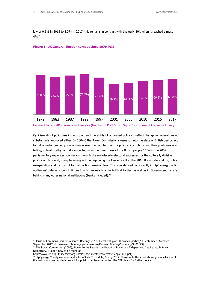low of 0.8% in 2013 to 1.3% in 2017, this remains in contrast with the early 80's when it reached almost  $4\%$ .<sup>9</sup>





Cynicism about politicians in particular, and the ability of organised politics to effect change in general has not substantially improved either. In 2004-6 the Power Commission's research into the state of British democracy found 'a well-ingrained popular view across the country that our political institutions and their politicians are failing, untrustworthy, and disconnected from the great mass of the British people.<sup>'10</sup> From the 2009 parliamentary expenses scandal on through the mid-decade electoral successes for the culturally divisive politics of UKIP and, many have argued, underpinning the Leave result in the 2016 Brexit referendum, public exasperation and distrust of formal politics remains clear. This is evidenced consistently in nfpSynergy public audiences' data as shown in figure 2 which reveals trust in Political Parties, as well as in Government, lags far behind many other national institutions (banks included). $^{11}$ 

<sup>&</sup>lt;sup>9</sup> House of Commons Library: Research Briefings 2017, 'Membership of UK political parties,' 1 September (Accessed September 2017 http://researchbriefings.parliament.uk/ResearchBriefing/Summary/SN05125)

<sup>&</sup>lt;sup>10</sup> The Power Commission (2006), 'Power to the People: the Report of Power, an Independent Inquiry into Britain's Democracy,' (Report now to be found at

http://www.jrrt.org.uk/sites/jrrt.org.uk/files/documents/PowertothePeople\_001.pdf)

<sup>11</sup> nfpSynergy Charity Awareness Monitor (CAM), Trust data, Spring 2017. Please note this chart shows just a selection of the institutions we regularly prompt for public trust levels – contact the CAM team for further details.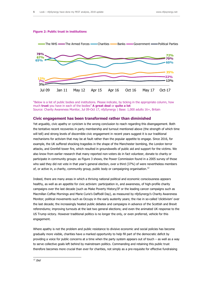#### **Figure 2: Public trust in institutions**



<sup>&</sup>quot;Below is a list of public bodies and institutions. Please indicate, by ticking in the appropriate column, how much **trust** you have in each of the bodies" **A great deal** or **quite a lot**  Source: Charity Awareness Monitor, Jul 09-Oct 17, nfpSynergy | Base: 1,000 adults 16+, Britain

#### **Civic engagement has been transformed rather than diminished**

Yet arguably, civic apathy or cynicism is the wrong conclusion to reach regarding this disengagement. Both the tentative recent recoveries in party membership and turnout mentioned above (the strength of which time will tell) and strong levels of discernible civic engagement in recent years suggest it is our traditional mechanisms for activism that may be at fault rather than the popular appetite to engage. Since 2016, for example, the UK suffered shocking tragedies in the shape of the Manchester bombing, the London terror attacks, and Grenfell tower fire, which resulted in groundswells of public aid and support for the victims. We also know from earlier research that many reported non-voters do in fact volunteer, donate to charity or participate in community groups: as Figure 3 shows, the Power Commission found in a 2005 survey of those who said they did not vote in that year's general election, over a third (37%) of were nevertheless members of, or active in, a charity, community group, public body or campaigning organisation.<sup>12</sup>

Indeed, there are many areas in which a thriving national political and economic consciousness appears healthy, as well as an appetite for civic activism: participation in, and awareness, of high-profile charity campaigns over the last decade (such as Make Poverty History/IF or the leading cancer campaigns such as Macmillan Coffee Mornings and Marie Curie's Daffodil Day), as measured by nfpSynergy's Charity Awareness Monitor; political movements such as Occupy in the early austerity years; the rise in so-called 'clicktivism' over the last decade; the increasingly heated public debates and campaigns in advance of the Scottish and Brexit referendums; improving turnouts at the last two general elections; and even the animated UK response to the US Trump victory. However traditional politics is no longer the only, or even preferred, vehicle for this engagement.

Where apathy is not the problem and public resistance to divisive economic and social policies has become gradually more visible, charities have a marked opportunity to help fill part of the democratic deficit by providing a voice for public concerns at a time when the party system appears out of touch – as well as a way to serve collective goals left behind by mainstream politics. Commanding and retaining this public trust therefore becomes more crucial than ever for charities, not simply as a pre-requisite for effective fundraising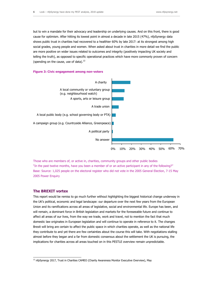but to win a mandate for their advocacy and leadership on underlying causes. And on this front, there is good cause for optimism. After hitting its lowest point in almost a decade in late 2015 (47%), nfpSynergy data shows public trust in charities had recovered to a healthier 60% by late 2017: at its strongest among high social grades, young people and women. When asked about trust in charities in more detail we find the public are more positive on wider issues related to outcomes and integrity (positively impacting UK society and telling the truth), as opposed to specific operational practices which have more commonly proven of concern (spending on the cause, use of data). $^{13}$ 

#### **Figure 3: Civic engagement among non-voters**



Those who are members of, or active in, charities, community groups and other public bodies "In the past twelve months, have you been a member of or an active participant in any of the following?" Base: Source: 1,025 people on the electoral register who did not vote in the 2005 General Election, 7-15 May 2005 Power Enquiry

#### **The BREXIT vortex**

-

This report would be remiss to go much further without highlighting the biggest historical change underway in the UK's political, economic and legal landscape: our departure over the next few years from the European Union and its ramifications across all areas of legislative, social and environmental life. Europe has been, and will remain, a dominant force in British legislation and markets for the foreseeable future and continue to affect all areas of our lives, from the way we trade, work and travel, not to mention the fact that much domestic law originates in European legislation and will continue to operate in reference to it. The changes Brexit will bring are certain to affect the public space in which charities operate, as well as the national life they contribute to and yet there are few certainties about the course this will take. With negotiations stalling almost before they began and a far from domestic consensus about the settlement the UK is pursuing, the implications for charities across all areas touched on in this PESTLE overview remain unpredictable.

<sup>&</sup>lt;sup>13</sup> nfpSynergy 2017, Trust in Charities CAMEO (Charity Awareness Monitor Executive Overview), May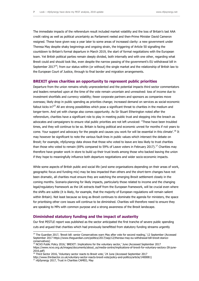The immediate impacts of the referendum result included market volatility and the loss of Britain's last AAA credit rating as well as political uncertainty as Parliament reeled and then-Prime Minister David Cameron resigned. These have given way a year later to some areas of increased clarity: a new government under Theresa May despite shaky beginnings and ongoing strain, the triggering of Article 50 signalling the countdown to Britain's formal departure in March 2019, the start of formal negotiations with the European team. Yet British political parties remain deeply divided, both internally and with one other, regarding what Brexit could and should look like, even despite the narrow passing of the government's EU withdrawal bill in September 2017<sup>14</sup>; from our status within (or without) the single market and the relationship of British law to the European Court of Justice, through to final border and migration arrangements.

#### **BREXIT gives charities an opportunity to represent public priorities**

Departure from the union remains wholly unprecedented and the potential impacts third sector commentators and leaders remarked upon at the time of the vote remain uncertain and unresolved: loss of income due to investment shortfalls and currency volatility; fewer corporate partners and sponsors as companies move overseas; likely drop in public spending as priorities change; increased demand on services as social-economic fallout kicks in?<sup>15</sup> All are strong possibilities which pose a significant threat to charities in the medium and longer-term. And yet with change also comes opportunity. As Sir Stuart Etherington noted after the referendum, charities have a significant role to play in meeting public trust and stepping into the breach as advocates and campaigners to ensure vital public priorities are not left unvoiced: "These have been troubled times, and they will continue to be so. Britain is facing political and economic unrest for months if not years to come. Your support and advocacy for the people and causes you work for will be essential in this climate'.<sup>16</sup> It may however be significant to note the various fault-lines in public values which intersect the debate on Brexit; for example, nfpSynergy data shows that those who voted to leave are less likely to trust charities than those who voted to remain (69% compared to 59% of Leave voters in February 2017).<sup>17</sup> Charities may therefore have greater work in store to build up their trust levels among those who backed leaving the union if they hope to meaningfully influence both departure negotiations and wider socio-economic impacts.

While some aspects of British public and social life (and some organisations depending on their areas of work, geographic focus and funding mix) may be less impacted than others and the short-term changes have not been dramatic, all charities must ensure they are watching the emerging Brexit settlement closely in the coming months. Scenario-planning for likely impacts, particularly those related to income and the changing legal/regulatory framework as the UK extracts itself from the European framework, will be crucial even where the shifts are subtle (it is likely, for example, that the majority of European regulations will remain salient within Britain). Not least because so long as Brexit continues to dominate the agenda for ministers, the space for prioritising other core issues will continue to be diminished. Charities will therefore need to ensure they are speaking to MPs with common purpose and a strong awareness of the Brexit landscape.

#### **Diminished statutory funding and the impact of austerity**

Our first PESTLE report was published as the sector anticipated the first tranche of severe public spending cuts and argued that charities which had previously benefitted from statutory funding streams urgently

<sup>&</sup>lt;sup>14</sup> The Guardian 2017, 'Brexit bill: senior Conservatives warn May after vote for second reading,' 12 September (Accessed September 2017 https://www.theguardian.com/politics/2017/sep/12/theresa-may-eu-withdrawal-bill-brexit-stanceconservatives)

<sup>&</sup>lt;sup>15</sup> NCVO Public Policy 2016,' BREXIT: Implications for the voluntary sector,' June (Accessed September 2017 https://www.ncvo.org.uk/images/documents/about\_us/media-centre/implications-of-brexit-for-voluntary-sectory-28-june-2016.pdf)

<sup>&</sup>lt;sup>16</sup> Third Sector 2016, 'Voluntary sector reacts to Brexit vote,' 24 June (Accessed September 2017

http://www.thirdsector.co.uk/voluntary-sector-reacts-brexit-vote/policy-and-politics/article/1400081)

<sup>&</sup>lt;sup>17</sup> nfpSynergy 2017, Trust in Charities CAMEO, May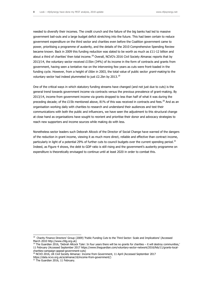needed to diversify their incomes. The credit crunch and the failure of the big banks had led to massive government bail-outs and a large budget deficit stretching into the future. This had been certain to reduce government expenditure on the third sector and charities even before the Coalition government came to power, prioritising a programme of austerity, and the details of the 2010 Comprehensive Spending Review became known. Back in 2009 this funding reduction was slated to be worth as much as £11-12 billion and about a third of charities' then total income.<sup>18</sup> Overall, NCVO's 2016 Civil Society Almanac reports that by 2013/14, the voluntary sector received  $£15$ bn (34%) of its income in the form of contracts and grants from government, having seen a tentative rise on the intervening few years as cuts were front-loaded in the funding cycle. However, from a height of £6bn in 2003, the total value of public sector *grant-making* to the voluntary sector had indeed plummeted to just  $£2.2$ bn by  $2013.^{19}$ 

One of the critical ways in which statutory funding streams have changed (and not just due to cuts) is the general trend towards government income via contracts versus the previous prevalence of grant-making. By 2013/14, income from government income via grants dropped to less than half of what it was during the preceding decade; of the £15b mentioned above, 81% of this was received in contracts and fees.<sup>20</sup> And as an organisation working daily with charities to research and understand their audiences and test their communications with both the public and influencers, we have seen the adjustment to this structural change at close hand as organisations have sought to reorient and prioritise their donor and advocacy strategies to reach new supporters and income sources while making do with less.

Nonetheless sector leaders such Deborah Allcock of the Director of Social Change have warned of the dangers of the reduction in grant income, viewing it as much more direct, reliable and effective than contract income, particularly in light of a potential 29% of further cuts to council budgets over the current spending period.<sup>21</sup> Indeed, as Figure 4 shows, the debt to GDP ratio is still rising and the government's austerity programme on expenditure is theoretically envisaged to continue until at least 2020 in order to combat this.

 18 Charity Finance Directors' Group (2009) 'Public Funding Cuts to the Third Sector: Scale and Implications' (Accessed March 2010 http://www.cfdg.org.uk)

 $19$  The Guardian 2016, 'Debrah Allcock Tyler: In four years there will be no grants for charities – it will destroy communities,' 11 February (Accessed September 2017 https://www.theguardian.com/voluntary-sector-network/2016/feb/11/grants-localcharities-campaign-appeal-government-cuts)

<sup>20</sup> NCVO 2016, UK Civil Society Almanac: Income from Government, 11 April (Accessed September 2017

https://data.ncvo.org.uk/a/almanac16/income-from-government/)

<sup>&</sup>lt;sup>21</sup> The Guardian 2016, 11 February.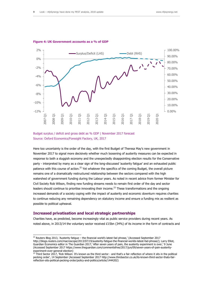

#### **Figure 4: UK Government accounts as a % of GDP**



Here too uncertainty is the order of the day, with the first Budget of Theresa May's new government in November 2017 to signal more decisively whether much loosening of austerity measures can be expected in response to both a sluggish economy and the unexpectedly disappointing election results for the Conservative party - interpreted by many as a clear sign of the long-discussed 'austerity fatigue' and an exhausted public patience with this course of action.<sup>22</sup> Yet whatever the specifics of the coming Budget, the overall picture remains one of a dramatically restructured relationship between the sectors compared with the high watershed of government funding during the Labour years. As noted in recent advice from former Minister for Civil Society Rob Wilson, finding new funding streams needs to remain first order of the day and sector leaders should continue to prioritise innovating their income.<sup>23</sup> These transformations and the ongoing increased demands of a society coping with the impact of austerity and economic downturn requires charities to continue reducing any remaining dependency on statutory income and ensure a funding mix as resilient as possible to political upheaval.

#### **Increased privatisation and local strategic partnerships**

-

Charities have, as predicted, become increasingly vital as public service providers during recent years. As noted above, in 2013/14 the voluntary sector received £15bn (34%) of its income in the form of contracts and

 $^{22}$  Reuters Blog 2013, `Austerity fatigue – the financial world's latest fad phrase,' (Accessed September 2017 http://blogs.reuters.com/macroscope/2013/07/19/austerity-fatigue-the-financial-worlds-latest-fad-phrase/); Larry Elliot, Guardian Economics editor in The Guardian 2017,' After seven years of pain, the austerity experiment is over,' 9 June (Accessed September 2017 https://www.theguardian.com/commentisfree/2017/jun/09/seven-years-of-pain-austerityexperiment-over-general-election)

 $^{23}$  Third Sector 2017, 'Rob Wilson: It's known as the third sector - and that's a fair reflection of where it sits in the political pecking order', 14 September (Accessed September 2017 http://www.thirdsector.co.uk/its-known-third-sector-thats-fairreflection-sits-political-pecking-order/policy-and-politics/article/1444202)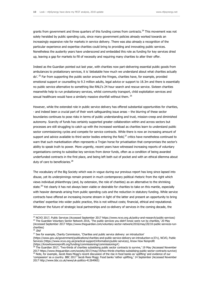grants from government and three quarters of this funding comes from contracts.<sup>24</sup> This movement was not solely heralded by public spending cuts, since many government policies already worked towards an increasingly expansive role for markets in service delivery. There was also already a recognition of the particular experience and expertise charities could bring to providing and innovating public services. Nonetheless the austerity years have underscored and embedded this role as funding for key services dried up, leaving a gap for markets to fill of necessity and requiring many charities to alter their offer.

Indeed as the Guardian pointed out last year, with charities now part-delivering essential public goods from ambulances to probationary services, it is 'debatable how much we understand about what charities actually do'.<sup>25</sup> Far from supporting the public sector around the fringes, charities have, for example, provided emotional support or counselling to 9.3 million adults, legal advice or support to 18.3m and there is essentially no public service alternative to something like RNLI's 24 hour search and rescue service. Sixteen charities meanwhile help to run probationary services, whilst community transport, child exploitation services and sexual healthcare would have a similarly massive shortfall without them. <sup>26</sup>

However, while the extended role in public service delivery has offered substantial opportunities for charities, - and indeed been a crucial part of their work safeguarding issue areas – the blurring of these sector boundaries continues to pose risks in terms of public understanding and trust, mission-creep and diminished autonomy. Scarcity of funds has certainly supported greater collaboration within and across sectors but processes are still struggling to catch up with the increased workload as charities learn to understand public sector commissioning cycles and compete for service contracts. While there is now an increasing amount of support and advice available to third sector bodies entering the field, $^{27}$  critics have nonetheless continued to warn that such marketisation often represents a Trojan horse for privatisation that compromises the sector's ability to speak truth to power. More urgently, recent years have witnessed increasing reports of voluntary organisations coming to subsidise key services from donor funds, often as a condition of being awarded underfunded contracts in the first place, and being left both out of pocket and with an ethical dilemma about duty of care to beneficiaries. $^{28}$ 

The vocabulary of the Big Society which was in vogue during our previous report has long since lapsed into disuse, yet its underpinnings remain present in much contemporary political rhetoric from the right which views individual philanthropy (and, by extension, the role of charities) as an alternative to the shrinking state.<sup>29</sup> Yet clearly it has not always been viable or desirable for charities to take on this mantle, especially with heavier demands arising from public spending cuts and the reduction in statutory funding. While service contracts have offered an increasing income stream in light of the latter and present an opportunity to bring charities' expertise into wider public practice, this is not without costs; financial, ethical and reputational. Whatever the future of strategic local partnerships and co-delivery of services in the coming decade, the

<sup>&</sup>lt;sup>24</sup> NCVO 2017, Public Services (Accessed September 2017 https://www.ncvo.org.uk/policy-and-research/public-services) <sup>25</sup> The Guardian Voluntary Sector Network 2016, 'The public services you didn't know were run by charities,' 20 May (Accessed September 2017 https://www.theguardian.com/voluntary-sector-network/2016/may/20/10-public-services-runcharities)

 $26$  Ibid

<sup>&</sup>lt;sup>27</sup> See for example, Charity Commission, 'Charities and public service delivery: an introduction' [\(https://www.gov.uk/government/publications/charities-and-public-service-delivery-an-introduction-cc37v\)](https://www.gov.uk/government/publications/charities-and-public-service-delivery-an-introduction-cc37v), NCVO, Public Services [\(https://www.ncvo.org.uk/practical-support/information/public-services\)](https://www.ncvo.org.uk/practical-support/information/public-services), Know How Nonprofit [\(https://knowhownonprofit.org/funding/commissioning/commissioning#\)](https://knowhownonprofit.org/funding/commissioning/commissioning)

 $^{28}$  The Guardian 2017, 'Two-thirds of charities subsidising public sector contracts to survive,' 19 May (Accessed November 2017 https://www.theguardian.com/society/2017/may/19/two-thirds-charities-subsidising-public-sector-contracts-survive)  $^{29}$  Note, for example, Jacob Rees Mogg's recent discussion of the rise in food banks as 'uplifting' and evidence of our 'compassion' as a country. BBC 2017 'Jacob Rees Mogg: Food banks 'rather uplifting,' 14 September (Accessed November 2017 http://www.bbc.co.uk/news/uk-politics-41264965)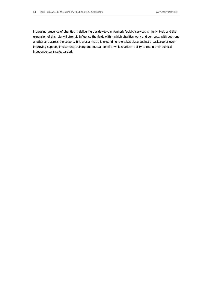increasing presence of charities in delivering our day-to-day formerly 'public' services is highly likely and the expansion of this role will strongly influence the fields within which charities work and compete, with both one another and across the sectors. It is crucial that this expanding role takes place against a backdrop of everimproving support, investment, training and mutual benefit, while charities' ability to retain their political independence is safeguarded.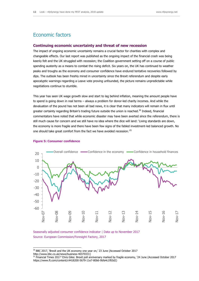## Economic factors

#### **Continuing economic uncertainty and threat of new recession**

The impact of ongoing economic uncertainty remains a crucial factor for charities with complex and changeable effects. Our last report was published as the ongoing impact of the financial crash was being keenly felt and the UK struggled with recession; the Coalition government setting off on a course of public spending austerity as a means to combat the rising deficit. Six years on, the UK has continued to weather peaks and troughs as the economy and consumer confidence have endured tentative recoveries followed by dips. The outlook has been freshly mired in uncertainty since the Brexit referendum and despite early apocalyptic warnings regarding a Leave vote proving unfounded, the picture remains unpredictable while negotiations continue to stumble.

This year has seen UK wage growth slow and start to lag behind inflation, meaning the amount people have to spend is going down in real terms – always a problem for donor-led charity incomes. And while the devaluation of the pound has not been all bad news, it is clear that many indicators will remain in flux until greater certainty regarding Britain's trading future outside the union is reached.<sup>30</sup> Indeed, financial commentators have noted that while economic disaster may have been averted since the referendum, there is still much cause for concern and we still have no idea where the dice will land: 'Living standards are down, the economy is more fragile and there have been few signs of the fabled investment-led balanced growth. No one should take great comfort from the fact we have avoided recession.<sup>31</sup>



#### **Figure 5: Consumer confidence**

-

Seasonally adjusted consumer confidence indicator | Data up to November 2017 Source: European Commission/Foresight Factory, 2017

 $30$  BBC 2017, 'Brexit and the UK economy one year on,' 23 June (Accessed October 2017 http://www.bbc.co.uk/news/business-40370331)

<sup>31</sup> Financial Times 2017 'Chris Giles: Brexit poll anniversary marked by fragile economy, '24 June (Accessed October 2017 https://www.ft.com/content/c4418200-5679-11e7-80b6-9bfa4c1f83d2)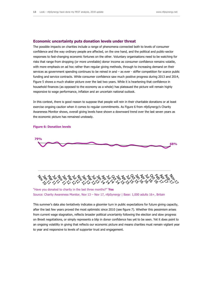#### **Economic uncertainty puts donation levels under threat**

The possible impacts on charities include a range of phenomena connected both to levels of consumer confidence and the way ordinary people are affected, on the one hand, and the political and public-sector responses to fast-changing economic fortunes on the other. Voluntary organisations need to be watching for risks that range from dropping (or more unreliable) donor income as consumer confidence remains volatile, with more emphasis on ad hoc rather than regular giving methods, through to increasing demand on their services as government spending continues to be reined in and – as ever - stiffer competition for scarce public funding and service contracts. While consumer confidence saw much positive progress during 2013 and 2014, Figure 5 shows a much shakier picture over the last two years. While it is heartening that confidence in household finances (as opposed to the economy as a whole) has plateaued the picture will remain highly responsive to wage performance, inflation and an uncertain national outlook.

In this context, there is good reason to suppose that people will rein in their charitable donations or at least exercise ongoing caution when it comes to regular commitments. As Figure 6 from nfpSynergy's Charity Awareness Monitor shows, overall giving levels have shown a downward trend over the last seven years as the economic picture has remained unsteady.



**Figure 6: Donation levels**





#### "Have you donated to charity in the last three months?" **Yes** Source: Charity Awareness Monitor, Nov 13 – Nov 17, nfpSynergy | Base: 1,000 adults 16+, Britain

This summer's data also tentatively indicates a gloomier turn in public expectations for future giving capacity, after the last few years proved the most optimistic since 2010 (see figure 7). Whether this pessimism arises from current wage stagnation, reflects broader political uncertainty following the election and slow progress on Brexit negotiations, or simply represents a blip in donor confidence has yet to be seen. Yet it does point to an ongoing volatility in giving that reflects our economic picture and means charities must remain vigilant year to year and responsive to levels of supporter trust and engagement.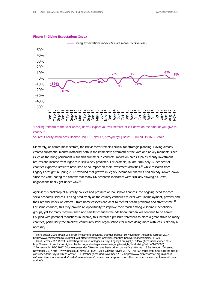

#### **Figure 7: Giving Expectations Index**

-

"Looking forward to the year ahead, do you expect you will increase or cut down on the amount you give to charity?"

Source: Charity Awareness Monitor, Jan 10 – Nov 17, nfpSynergy | Base: 1,000 adults 16+, Britain

Ultimately, as across most sectors, the Brexit factor remains crucial for strategic planning. Having already created substantial market instability both in the immediate aftermath of the vote and at key moments since (such as the hung parliament result this summer), a concrete impact on areas such as charity investment returns and income from legacies is still widely predicted. For example, in late 2016 only 17 per cent of charities expected Brexit to have little or no impact on their investment activities,<sup>32</sup> while research from Legacy Foresight in Spring 2017 revealed that growth in legacy income for charities had already slowed down since the vote, noting the context that many UK economic indicators were similarly slowing as Brexit negotiations finally got under way.<sup>33</sup>

Against this backdrop of austerity policies and pressure on household finances, the ongoing need for core socio-economic services is rising predictably as the country continues to deal with unemployment, poverty and their broader knock-on effects - from homelessness and debt to mental health problems and street crime.<sup>34</sup> For some charities, this may provide an opportunity to improve their reach among vulnerable beneficiary groups, yet for many medium-sized and smaller charities the additional burden will continue to be heavy. Coupled with potential reductions in income, this increased pressure threatens to place a great strain on many charities, particularly the smallest, community-level organisations for whom doing more with less is already a necessity.

<sup>32</sup> Third Sector 2016 'Brexit will affect investment activities, charities believe,'10 November (Accessed October 2017 http://www.thirdsector.co.uk/brexit-will-affect-investment-activities-charities-believe/finance/article/1415209) <sup>33</sup> Third Sector 2017 'Brexit is affecting the value of legacies, says Legacy Foresight,' 16 May (Accessed October 2017 http://www.thirdsector.co.uk/brexit-affecting-value-legacies-says-legacy-foresight/fundraising/article/1433696)

<sup>&</sup>lt;sup>34</sup> For example: BBC 2017, 'Homelessness rise 'likely to have been driven by welfare reforms', 13 September (Accessed November 2017 [http://www.bbc.co.uk/news/uk-41241021\)](http://www.bbc.co.uk/news/uk-41241021); Citizens Advice 2017, 'The FCA must step in to curb the rise of consumer debt, says Citizens Advice,' 30 October (Accessed November 2017 https://www.citizensadvice.org.uk/aboutus/how-citizens-advice-works/media/press-releases/the-fca-must-step-in-to-curb-the-rise-of-consumer-debt-says-citizensadvice/)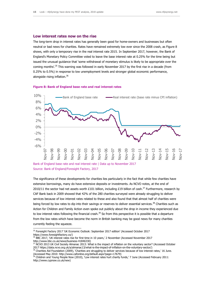#### **Low interest rates now on the rise**

The long-term drop in interest rates has generally been good for home-owners and businesses but often neutral or bad news for charities. Rates have remained extremely low ever since the 2008 crash, as Figure 8 shows, with only a temporary rise in the real interest rate 2015. In September 2017, however, the Bank of England's Monetary Policy Committee voted to leave the base interest rate at 0.25% for the time being but issued the unusual guidance that 'some withdrawal of monetary stimulus is likely to be appropriate over the coming months'.<sup>35</sup> This warning was followed in early November 2017 by the first rise in a decade (from 0.25% to 0.5%) in response to low unemployment levels and stronger global economic performance, alongside rising inflation.<sup>36</sup>

#### **Figure 8: Bank of England base rate and real interest rates**



Bank of England base rate and real interest rate | Data up to November 2017 Source: Bank of England/Foresight Factory, 2017

The significance of these developments for charities lies particularly in the fact that while few charities have extensive borrowings, many do have extensive deposits or investments. As NCVO notes, at the end of 2010/11 the sector had net assets worth £101 billion, including £19 billion of cash.<sup>37</sup> Furthermore, research by CAF Bank back in 2009 showed that 42% of the 280 charities surveyed were already struggling to deliver services because of low interest rates related to these and also found that that almost half of charities were being forced by low rates to dip into their savings or reserves to deliver essential services.<sup>38</sup> Charities such as Action for Children and Family Action even spoke out publicly about the drop in income they experienced due to low interest rates following the financial crash.<sup>39</sup> So from this perspective it is possible that a departure from the low rates which have become the norm in British banking may be good news for many charities currently feeling the squeeze.

<sup>&</sup>lt;sup>35</sup> Foresight Factory 2017 'UK Economic Outlook: September 2017 edition' (Accessed October 2017 https://www.foresightfactory.co/)

 $36$  BBC 2017, 'UK interest rates rise for first time in 10 years,' 2 November (Accessed November 2017 http://www.bbc.co.uk/news/business-41846330)

<sup>&</sup>lt;sup>37</sup> NCVO 2013 UK Civil Society Almanac 2013: What is the impact of inflation on the voluntary sector? (Accessed October 2017 https://data.ncvo.org.uk/a/almanac13/what-is-the-impact-of-inflation-on-the-voluntary-sector/)

<sup>38</sup> Charities Aid Foundation (2009), 'Charities are struggling to deliver services because of low interest rates,' 16 June. (Accessed May 2010: http://www.cafonline.org/default.aspx?page=17679)

<sup>39</sup> Children and Young People Now (2010), 'Low interest rates hurt charity funds,' 7 June (Accessed February 2011: http://www.cypnow.co.uk/new)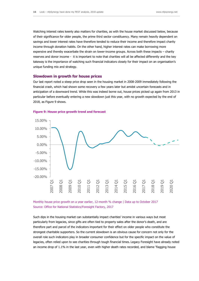Watching interest rates keenly also matters for charities, as with the house market discussed below, because of their significance for older people, the prime third sector constituency. Many remain heavily dependent on savings and lower interest rates have therefore tended to reduce their income and therefore impact charity income through donation habits. On the other hand, higher interest rates can make borrowing more expensive and thereby exacerbate the strain on lower-income groups. Across both these impacts – charity reserves and donor income - it is important to note that charities will all be affected differently and the key takeway is the importance of watching such financial indicators closely for their impact on an organisation's unique funding mix and strategy.

#### **Slowdown in growth for house prices**

Our last report noted a steep price drop seen in the housing market in 2008-2009 immediately following the financial crash, which had shown some recovery a few years later but amidst uncertain forecasts and in anticipation of a downward trend. While this was indeed borne out, house prices picked up again from 2013 in particular before eventually entering a new slowdown just this year, with no growth expected by the end of 2018, as Figure 9 shows.



#### **Figure 9: House price growth trend and forecast**

Monthly house price growth on a year earlier, 12-month % change | Data up to October 2017 Source: Office for National Statistics/Foresight Factory, 2017

Such dips in the housing market can substantially impact charities' income in various ways but most particularly from legacies, since gifts are often tied to property sales after the donor's death, and are therefore part and parcel of the indicators important for their effect on older people who constitute the strongest charitable supporters. So the current slowdown is an obvious cause for concern not only for the overall role such indicators play in broader consumer confidence but for the specific impact on the value of legacies, often relied upon to see charities through tough financial times. Legacy Foresight have already noted an income drop of 1.1% in the last year, even with higher death rates recorded, and blame 'flagging house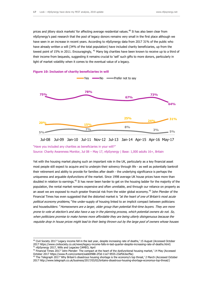prices and jittery stock markets' for affecting average residential values.<sup>40</sup> It has also been clear from nfpSynergy's past research that the pool of legacy donors remains very small in the first place although we have seen in an increase in recent years. According to nfpSynergy data from 2017 31% of the public who have already written a will (34% of the total population) have included charity beneficiaries, up from the lowest point of 15% in 2011. Encouragingly, <sup>41</sup> Many big charities have been known to receive up to a third of their income from bequests, suggesting it remains crucial to 'sell' such gifts to more donors, particularly in light of market volatility when it comes to the eventual value of a legacy.



#### **Figure 10: Inclusion of charity beneficiaries in will**

-

#### Jul-08 Jul-09 Jan-10 Jul-11 Nov-12 Jul-13 Jan-14 Apr-15 Apr-16 May-17

#### "Have you included any charities as beneficiaries in your will?" Source: Charity Awareness Monitor, Jul 08 – May 17, nfpSynergy | Base: 1,000 adults 16+, Britain

Yet with the housing market playing such an important role in the UK, particularly as a key financial asset most people still expect to acquire and to underpin their solvency through life - as well as potentially bankroll their retirement and ability to provide for families after death - the underlying significance is perhaps the uniqueness and arguable dysfunctions of the market. Since 1998 average UK house prices have more than doubled in relation to earnings.<sup>42</sup> It has never been harder to get on the housing ladder for the majority of the population, the rental market remains expensive and often unreliable, and through our reliance on property as an asset we are exposed to much greater financial risk from the wider global economy.<sup>43</sup> John Plender of the Financial Times has even suggested that the distorted market is "at the heart of one of Britain's most acute political economy problems," the under-supply of housing linked to an implicit compact between politicians and housebuilders: "Homeowners are a larger, older group than potential first-time buyers. They are more prone to vote at election's and also have a say in the planning process, which potential owners do not. So, when politicians promise to make homes more affordable they are being utterly disingenuous because the requisite drop in house prices might lead to their being thrown out by the large pool of owners whose houses

 $40$  Civil Society 2017 'Legacy income fell in the last year, despite increasing rate of deaths,' 15 August (Accessed October 2017 https://www.civilsociety.co.uk/news/legacy-income-falls-in-last-quarter-despite-increasing-rate-of-deaths.html) <sup>41</sup> nfpSynergy 2017, Wills and Legacies CAMEO, April

<sup>&</sup>lt;sup>42</sup> Financial Times 2017 'John Plender: The compact at the heart of the dysfunctional housing market,' 14 May (Accessed October 2017 https://www.ft.com/content/eab69988-2f3d-11e7-9555-23ef563ecf9a)

<sup>&</sup>lt;sup>43</sup> The Telegraph 2017 'Why Britain's disastrous housing shortage is the economy's top threat,' 2 March (Accessed October 2017 http://www.telegraph.co.uk/business/2017/03/02/britains-disastrous-housing-shortage-economys-top-threat/)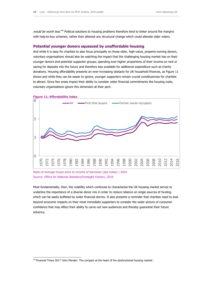would be worth less.<sup>44</sup> Political solutions to housing problems therefore tend to tinker around the margins with help-to-buy schemes, rather than attempt any structural change which could alienate older voters.

#### **Potential younger donors squeezed by unaffordable housing**

And while it is easy for charities to also focus principally on those older, high-value, property-owning donors, voluntary organisations should also be watching the impact that the challenging housing market has on their younger donors and potential supporter groups; spending ever-higher proportions of their income on rent or saving for deposits into the future and therefore less available for additional expenditure such as charity donations. Housing affordability presents an ever-increasing obstacle for UK household finances, as Figure 11 shows and while they can be easier to ignore, younger supporters remain crucial constituencies for charities to attract. Since few areas impact their ability to consider wider financial commitments like housing costs, voluntary organisations ignore this dimension at their peril.





-

Most fundamentally, then, the volatility which continues to characterise the UK housing market serves to underline the importance of a diverse donor mix in order to reduce reliance on single sources of funding which can be easily buffeted by wider financial storms. It also presents a reminder that charities need to look beyond economic impacts on their most immediate supporters to consider the wider picture of consumer confidence that may affect their ability to carve out new audiences and thereby guarantee their future solvency.

Ratio of average house price to income of borrower (see notes) | 2016 Source: Office for National Statistics/Foresight Factory, 2016

<sup>&</sup>lt;sup>44</sup> Financial Times 2017 'John Plender: The compact at the heart of the dysfunctional housing market.'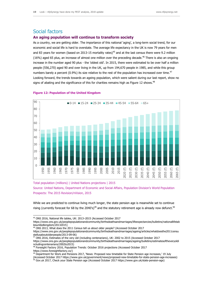## Social factors

#### **An aging population will continue to transform society**

As a country, we are getting older. The importance of this national 'aging', a long-term social trend, for our economic and social life is hard to overstate. The average life expectancy in the UK is now 79 years for men and 83 years for women (based on 2013-15 mortality rates)<sup>45</sup> and at the last census there were 9.2 million (16%) aged 65 plus, an increase of almost one million over the preceding decade.<sup>46</sup> There is also an ongoing increase in the number aged 90 plus - the 'oldest old'. In 2015, there were estimated to be over half a million people (556,270) aged 90 and over living in the UK, up from 194,670 people in 1985, and while this group numbers barely a percent (0.9%) its size relative to the rest of the population has increased over time.<sup>47</sup> Looking forward, the trends towards an ageing population, which were salient during our last report, show no signs of abating and the significance of this for charities remains high as Figure 12 shows.<sup>48</sup>



#### **Figure 12: Population of the United Kingdom**

Total population (millions) | United Nations projections | 2015 Source: United Nations, Department of Economic and Social Affairs, Population Division's World Population Prospects: The 2015 Revision/nVision, 2015

While we are predicted to continue living much longer, the state pension age is meanwhile set to continue rising (currently forecast for 68 by the 2040's)<sup>49</sup> and the statutory retirement age is already now defunct.<sup>50</sup>

-

<sup>47</sup> ONS 2016, Estimates of the very old (including centenarians), UK: 2002 to 2015 (Accessed October 2017

<sup>45</sup> ONS 2016, National life tables, UK: 2013–2015 (Accessed October 2017

https://www.ons.gov.uk/peoplepopulationandcommunity/birthsdeathsandmarriages/lifeexpectancies/bulletins/nationallifetab lesunitedkingdom/20132015)

<sup>46</sup> ONS 2013, What does the 2011 Census tell us about older people? (Accessed October 2017 https://www.ons.gov.uk/peoplepopulationandcommunity/birthsdeathsandmarriages/ageing/articles/whatdoesthe2011censu stellusaboutolderpeople/2013-09-06)

https://www.ons.gov.uk/peoplepopulationandcommunity/birthsdeathsandmarriages/ageing/bulletins/estimatesoftheveryoldi ncludingcentenarians/2002to2015)

<sup>&</sup>lt;sup>18</sup> Foresight Factory 2016, Population Trends: October 2016 projections (Accessed October 2017 [https://www.foresightfactory.co/\)](https://www.foresightfactory.co/)

<sup>&</sup>lt;sup>49</sup> Department for Work and Pensions 2017, 'News: Proposed new timetable for State Pension age increases,' 19 July

<sup>(</sup>Accessed October 2017 https://www.gov.uk/government/news/proposed-new-timetable-for-state-pension-age-increases) <sup>50</sup> Gov.uk 2017, Check your State Pension age (Accessed October 2017 https://www.gov.uk/state-pension-age)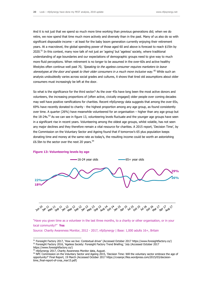And it is not just that we spend so much more time working than previous generations did; when we do retire, we now spend that time much more actively and diversely than in the past. Many of us also do so with significant disposable income – at least for the baby boom generation currently enjoying their retirement years. At a macrolevel, the global spending power of those aged 60 and above is forecast to reach \$15tn by 2020.<sup>51</sup> In this context, many now talk of not just an 'ageing' but 'ageless' society, where traditional understanding of age boundaries and our expectations of demographic groups need to give way to much more fluid perceptions. When retirement is no longer to be assumed in the over-60s and active healthy lifestyles often continue well past 70, 'Speaking to the ageless consumer requires marketers to leave stereotypes at the door and speak to their older consumers in a much more inclusive way. <sup>52</sup> While such an analysis undoubtedly varies across social grades and cultures, it shows that tired old assumptions about older consumers must increasingly be left at the door.

So what is the significance for the third sector? As the over 45s have long been the most active donors and volunteers, the increasing proportions of (often active, civically engaged) older people over coming decades may well have positive ramifications for charities. Recent nfpSynergy data suggests that among the over 65s, 69% have recently donated to charity - the highest proportion among any age group, as found consistently over time. A quarter (26%) have meanwhile volunteered for an organisation – higher than any age group but the 18-24s.<sup>53</sup> As we can see in figure 13, volunteering levels fluctuate and the younger age groups have seen in a significant rise in recent years. Volunteering among the oldest age groups, whilst volatile, has not seen any major declines and they therefore remain a vital resource for charities. A 2015 report, 'Decision Time', by the Commission on the Voluntary Sector and Ageing found that if tomorrow's 65 plus population keeps donating time and money at the same rate as today's, the resulting income could be worth an astonishing £6.5bn to the sector over the next 20 years. $54$ 



#### **Figure 13: Volunteering levels by age**

"Have you given time as a volunteer in the last three months, to a charity or other organisation, or in your local community?" **Yes** 

Source: Charity Awareness Monitor, 2012 - 2017, nfpSynergy | Base: 1,000 adults 16+, Britain

<sup>51</sup> Foresight Factory 2017, 'How we live: Contextual driver' (Accessed October 2017 https://www.foresightfactory.co/) 52 Foresight Factory 2016, 'Ageless Society: Foresight Factory Trend Briefing,' July (Accessed October 2017 https://www.foresightfactory.co/)

<sup>53</sup> nfpSynergy 2017, Charity Awareness Monitor data, August.

<sup>&</sup>lt;sup>54</sup> NPC Commission on the Voluntary Sector and Ageing 2015, 'Decision Time: Will the voluntary sector embrace the age of opportunity?' Final Report, 19 March (Accessed October 2017 https://cvsanpc.files.wordpress.com/2015/03/decisiontime\_final-report-of-cvsa\_mar15.pdf)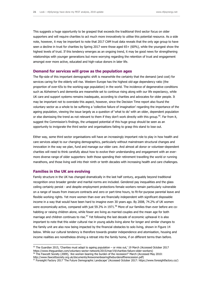This suggests a huge opportunity to be grasped that exceeds the traditional third sector focus on older supporters and will require charities to act much more innovatively to utilise this potential resource. As a side note, however, it may be important to note that 2017 CAM trust data reveals that the only age group to have seen a decline in trust for charities by Spring 2017 were those aged 65+ (60%), while the youngest show the highest levels of trust. If this tendency emerges as an ongoing trend, it may be good news for strengthening relationships with younger generations but more worrying regarding the retention of trust and engagement amongst ever more active, educated and high-value donors in later life.

#### **Demand for services will grow as the population ages**

The flip-side of this important demographic shift is meanwhile the certainty that the demand (and cost) for services caring for the elderly will rise. Western Europe has the highest old-age dependency ratio (the proportion of over-65s to the working-age population) in the world. The incidence of degenerative conditions such as Alzheimer's and dementia are meanwhile set to continue rising along with our life expectancy, while UK care and support systems remains inadequate, according to charities and advocates for older people. It may be important not to overstate this aspect, however, since the Decision Time report also found the voluntary sector as a whole to be suffering a 'collective failure of imagination' regarding the importance of the ageing population, viewing the issue largely as a question of 'what to do' with an older, dependent population or else dismissing the trend as not relevant to them if they don't work directly with this group.<sup>55</sup>. Far from it, suggest the Commission's findings, the untapped potential of this huge group should be seen as an opportunity to invigorate the third sector and organisations failing to grasp this stand to lose out.

Either way, some third sector organisations will have an increasingly important role to play in how health and care services adapt to our changing demographics, particularly without mainstream structural changes and innovation in the way we plan, fund and manage our elder care. And almost all donor or volunteer-dependent charities will need to think carefully about how to evolve their understanding and engagement with an evermore diverse range of older supporters: both those spending their retirement travelling the world or running marathons, and those living well into their ninth or tenth decades with increasing health and care challenges.

#### **Families in the UK are evolving**

-

Family structure in the UK has changed dramatically in the last half century, arguably beyond traditional recognition once broader gender and marital norms are included. Gendered pay inequalities and the glass ceiling certainly persist - and despite employment protections female workers remain particularly vulnerable on a range of issues from insecure contracts and zero or part-time hours, to fit-for-purpose parental leave and flexible working rights. Yet more women than ever are financially independent with significant disposable income in a way that would have been hard to imagine even 30 years ago. By 2008, 74.2% of UK women were economically active, compared with just 59.3% in 1971.<sup>56</sup> More of our families than ever before are cohabiting or raising children alone, while fewer are living as married couples and the mean age for both marriage and children continues to rise.<sup>57</sup> Yet following the last decade of economic upheaval it is also important to note that this wider cultural rise in young adults living alone for longer and similar changes to the family unit are also now being impacted by the financial obstacles to solo living, shown in Figure 14 below. While our cultural tendency is therefore towards greater independence and atomisation, housing and income realities are nonetheless driving a retreat into the family home, if on different terms than before.

<sup>56</sup> The Fawcett Society (2009), 'Are women bearing the burden of the recession?' March (Accessed May 2010: http://www.fawcettsociety.org.uk/documents/Arewomenbearingtheburdenoftherecession.pdf)

<sup>55</sup> The Guardian 2015, 'Charities must adapt to ageing population – or miss out,' 19 March (Accessed October 2017 https://www.theguardian.com/voluntary-sector-network/2015/mar/19/charities-failure-older-workers)

<sup>57</sup> Foresight Factory 2017 'The Future Demographic Landscape' (Accessed October 2017: https://www.foresightfactory.co/)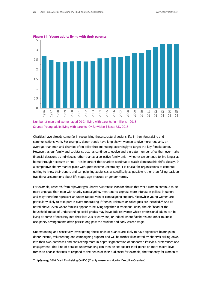

**Figure 14: Young adults living with their parents**

Number of men and women aged 20-34 living with parents, in millions | 2015 Source: Young adults living with parents, ONS/nVision | Base: UK, 2015

Charities have already come far in recognising these structural social shifts in their fundraising and communications work. For example, donor trends have long shown women to give more regularly, on average, than men and charities often tailor their marketing accordingly to target the key female donor. However, as our family and societal structures continue to evolve and a greater number of us than ever make financial decisions as individuals rather than as a collective family unit – whether we continue to live longer at home through necessity or not - it is important that charities continue to watch demographic shifts closely. In a competitive charity market-place with great income uncertainty, it is crucial for organisations to continue getting to know their donors and campaigning audiences as specifically as possible rather than falling back on traditional assumptions about life stage, age brackets or gender norms.

For example, research from nfpSynergy's Charity Awareness Monitor shows that while women continue to be more engaged than men with charity campaigning, men tend to express more interest in politics in general and may therefore represent an under-tapped vein of campaigning support. Meanwhile young women are particularly likely to take part in event fundraising if friends, relatives or colleagues are included.<sup>58</sup> And as noted above, even where families appear to be living together in traditional units, the old 'head of the household' model of understanding social grades may have little relevance where professional adults can be living at home of necessity into their late 20s or early 30s, or indeed where flatshares and other multipleoccupancy arrangements often persist long past the student and early-career stage.

Understanding and sensitively investigating these kinds of nuance are likely to have significant bearings on donor income, volunteering and campaigning support and will be further illuminated by charity's drilling down into their own databases and considering more in-depth segmentation of supporter lifestyles, preferences and engagement. This kind of detailed understanding can then be set against intelligence on more macro-level trends to enable charities to respond to the needs of their audience; for example, the tendency for women to

<sup>58</sup> nfpSynergy 2016 Event Fundraising CAMEO (Charity Awareness Monitor Executive Overview)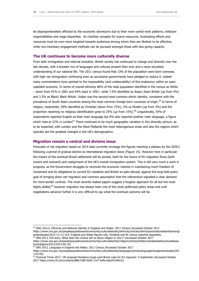be disproportionately affected by the economic downturns due to their more varied work patterns, childcare responsibilities and wage disparities. As charities compete for scarce resources, fundraising efforts and resources must be ever-more targeted towards audiences among whom they are likeliest to be effective, while non-monetary engagement methods can be pursued amongst those with less giving capacity.

#### **The UK continues to become more culturally diverse**

From both immigration and internal evolution, British society has continued to change and diversify over the last decade, with a broader mix of languages and cultures present than ever and a more pluralistic understanding of our national life. The 2011 census found that 13% of the population were born overseas, with high net immigration continuing even as successive governments have pledged to reduce it; indeed many commentators have pointed to the impossibility (and undesirability) of this endeavour within an open capitalist economy. In terms of overall ethnicity 86% of the total population identified in the census as White – down from 91% in 2001 and 94% back in 1991– while 7.5% identified as Asian/ Asian British (up from 4%) and 3.3% as Black/ Black British. Indian was the second most common ethnic identity, consistent with the prevalence of South Asian countries among the most common foreign-born countries of origin.<sup>59</sup> In terms of religion, meanwhile, 59% identified as Christian (down from 72%), 5% as Muslim (up from 3%) and the proportion reporting no religious identification grew to 25% (up from 15%).<sup>60</sup> Linguistically, 93% of respondents reported English as their main language but 8% also reported another main language, a figure which rises to 22% in London<sup>61</sup> There continues to be much geographic variation in this diversity picture, as to be expected, with London and the West Midlands the most heterogenous areas and also the regions which typically see the greatest changes in the UK's demographics.

#### **Migration remain a central and divisive issue**

Forecasts of net migration based on 2014 data currently envisage the figures reaching a plateau by the 2020's following a period of gradual decline as international migration slows (Figure 15). However here in particular the impact of the eventual Brexit settlement will be pivotal, both for the future of EU migration flows (both inward and outward) and realignment of the UK's overall immigration system. This is still very much a work in progress, as the Government struggles to reconcile the economic interest in maintaining much freedom of movement and its obligations to current EU residents and British ex-pats abroad, against the long-held policy goal of bringing down net migration and common assumption that the referendum signalled a clear demand for more border controls. The most recently leaked papers suggest a tougher approach for all but the most highly skilled,<sup>62</sup> however migration has always been one of the most politicised policy areas and until negotiations advance further it is very difficult to say what the eventual outcome will be.

<sup>&</sup>lt;sup>59</sup> ONS (2012), Ethnicity and National Identity in England and Wales: 2011 Census (Accessed October 2017

[https://www.ons.gov.uk/peoplepopulationandcommunity/culturalidentity/ethnicity/articles/ethnicityandnationalidentityinengl](https://www.ons.gov.uk/peoplepopulationandcommunity/culturalidentity/ethnicity/articles/ethnicityandnationalidentityinenglandandwales/2012-12-11) [andandwales/2012-12-11\)](https://www.ons.gov.uk/peoplepopulationandcommunity/culturalidentity/ethnicity/articles/ethnicityandnationalidentityinenglandandwales/2012-12-11) N.B. England and Wales figures only, Scotland and NI census reported separately.

 $^{60}$  ONS 2013, Full story: What does the Census tell us about religion in 2011? (Accessed October 2017

https://www.ons.gov.uk/peoplepopulationandcommunity/culturalidentity/religion/articles/fullstorywhatdoesthecensustellusa boutreligionin2011/2013-05-16)

<sup>61</sup> ONS 2013, Language in England and Wales: 2011 Census (Accessed October 2017

https://www.ons.gov.uk/peoplepopulationandcommunity/culturalidentity/language/articles/languageinenglandandwales/201 3-03-04)

<sup>&</sup>lt;sup>62</sup> Financial Times 2017, 'UK proposal threatens tough post-Brexit rules for EU migrants,' 6 September (Accessed October 2017 https://www.ft.com/content/d88c72d8-9265-11e7-bdfa-eda243196c2c)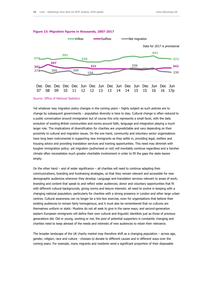

#### **Figure 15: Migration figures in thousands, 2007-2017**

#### Source: Office of National Statistics

Yet whatever way migration policy changes in the coming years – highly subject as such policies are to change by subsequent governments – population diversity is here to stay. Cultural change is often reduced to a public conversation around immigration but of course this only represents a small facet, with the daily evolution of existing British communities and norms around faith, language and integration playing a much larger role. The implications of diversification for charities are unpredictable and vary depending on their proximity to cultural and migration issues. On the one hand, community and voluntary sector organisations have long been instrumental in supporting new immigrants as they settle in, providing legal, welfare and housing advice and providing translation services and training opportunities. This need may diminish with tougher immigration policy; yet migration (authorised or not) will inevitably continue regardless and a harsher climate often necessitates much greater charitable involvement in order to fill the gaps the state leaves empty.

On the other hand – and of wider significance – all charities will need to continue adapting their communications, branding and fundraising strategies, so that they remain relevant and accessible for new demographic audiences wherever they develop. Language and translation services relevant to areas of work; branding and content that speak to and reflect wider audiences; donor and voluntary opportunities that fit with different cultural backgrounds, giving norms and leisure interests: all need to evolve in keeping with a changing national population, particularly for charities with a strong presence in London and other large urban centres. Cultural awareness can no longer be a tick-box exercise, even for organisations that believe their existing audiences to remain fairly homogenous, and it must also be remembered that no cultures are themselves uniform or static: Muslims do not all seek to give in the same ways, and second-generation eastern European immigrants will define their own cultural and linguistic identities just as those of previous generations did. Old or young, working or not, the pool of potential supporters is constantly changing and charities need to keep abreast of the needs and interests of new audiences to retain their relevance.

The broader landscape of the UK charity market may therefore shift as a changing population – across age, gender, religion, race and culture - chooses to donate to different causes and in different ways over the coming years. For example, many migrants and residents send a significant proportion of their disposable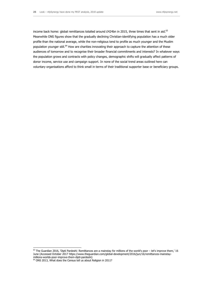income back home: global remittances totalled around £424bn in 2015, three times that sent in aid.<sup>63</sup> Meanwhile ONS figures show that the gradually declining Christian-identifying population has a much older profile than the national average, while the non-religious tend to profile as much younger and the Muslim population younger still.<sup>64</sup> How are charities innovating their approach to capture the attention of these audiences of tomorrow and to recognise their broader financial commitments and interests? In whatever ways the population grows and contracts with policy changes, demographic shifts will gradually affect patterns of donor income, service use and campaign support. In none of the social trend areas outlined here can voluntary organisations afford to think small in terms of their traditional supporter base or beneficiary groups.

<sup>-</sup> $^{63}$  The Guardian 2016, 'Dipti Pardeshi: Remittances are a mainstay for millions of the world's poor – let's improve them,' 16 June (Accessed October 2017 https://www.theguardian.com/global-development/2016/jun/16/remittances-mainstaymillions-worlds-poor-improve-them-dipti-pardeshi)

<sup>64</sup> ONS 2013, What does the Census tell us about Religion in 2011?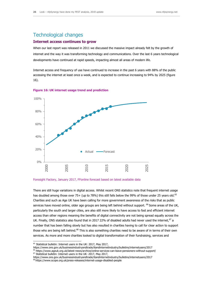## Technological changes

#### **Internet access continues to grow**

When our last report was released in 2011 we discussed the massive impact already felt by the growth of internet and the way it was transforming technology and communications. Over the last 6 years technological developments have continued at rapid speeds, impacting almost all areas of modern life.

Internet access and frequency of use have continued to increase in the past 6 years with 88% of the public accessing the internet at least once a week, and is expected to continue increasing to 94% by 2025 (figure 16).



#### **Figure 16: UK internet usage trend and prediction**

#### Foresight Factory, January 2017, FFonline forecast based on latest available data

There are still huge variations in digital access. Whilst recent ONS statistics note that frequent internet usage has doubled among those over 75+ (up to 78%) this still falls below the 99% of those under 25 years old.<sup>65</sup> Charities and such as Age UK have been calling for more government awareness of the risks that as public services have moved online, older age groups are being left behind without support. <sup>66</sup> Some areas of the UK, particularly the south and larger cities, are also still more likely to have access to fast and efficient internet access than other regions meaning the benefits of digital connectivity are not being spread equally across the UK. Finally, ONS statistics also found that in 2017 22% of disabled adults had never used the internet,  $67$  a number that has been falling slowly but has also resulted in charities having to call for clear action to support those who are being left behind.<sup>68</sup> This is also something charities need to be aware of in terms of their own services. As more and more charities looked to digital transformation of their fundraising, services and

-

https://www.ons.gov.uk/businessindustryandtrade/itandinternetindustry/bulletins/internetusers/2017

<sup>66</sup> https://www.ageuk.org.uk/latest-news/archive/online-services-can-leave-pensioners-without-support/

<sup>&</sup>lt;sup>65</sup> Statistical bulletin: Internet users in the UK: 2017, May 2017,

<sup>&</sup>lt;sup>67</sup> Statistical bulletin: Internet users in the UK: 2017, May 2017,

https://www.ons.gov.uk/businessindustryandtrade/itandinternetindustry/bulletins/internetusers/2017 <sup>68</sup> https://www.scope.org.uk/press-releases/internet-usage-disabled-people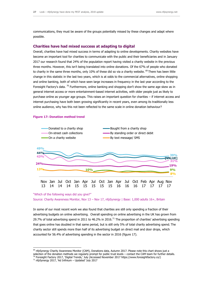communications, they must be aware of the groups potentially missed by these changes and adapt where possible.

#### **Charities have had mixed success at adapting to digital**

Overall, charities have had mixed success in terms of adapting to online developments. Charity websites have become an important tool for charities to communicate with the public and their beneficiaries and in January 2017 our research found that 24% of the population report having visited a charity website in the previous three months. However, this isn't being translated into online donations. Of the 67% of people who donated to charity in the same three months, only 10% of these did so via a charity website. <sup>69</sup> There has been little change in this statistic in the last two years, which is at odds to the commercial alternatives, online shopping and online banking, both of which have seen large increases in frequency in the last year according to the Foresight Factory's data.  $^{70}$  Furthermore, online banking and shopping don't show the same age skew as in general internet access or more entertainment-based internet activities, with older people just as likely to purchase online as younger age groups. This raises an important question for charities – if internet access and internet purchasing have both been growing significantly in recent years, even among its traditionally less online audience, why has this not been reflected to the same scale in online donation behaviour?

#### **Figure 17: Donation method trend**



#### "Which of the following ways did you give?"

Source: Charity Awareness Monitor, Nov 13 – Nov 17, nfpSynergy | Base: 1,000 adults 16+, Britain

In some of our most recent work we also found that charities are still only spending a fraction of their advertising budgets on online advertising. Overall spending on online advertising in the UK has grown from 29.7% of total advertising spend in 2011 to 46.2% in 2016.<sup>71</sup> The proportion of charities' advertising spending that goes online has doubled in that same period, but is still only 5% of total charity advertising spend. The charity sector still spends more than half of its advertising budget on direct mail and door drops, which accounted for 56.4% of advertising spending in the sector in 2016 (figure 17).

 $69$  nfpSynergy Charity Awareness Monitor (CAM), Donations data, Autumn 2017. Please note this chart shows just a selection of the donation methods we regularly prompt for public trust levels – contact the CAM team for further details.

<sup>70</sup> Foresight Factory 2017, 'Digital Trends,' July (Accessed November 2017 https://www.foresightfactory.co/)

<sup>71</sup> nfpSynergy 2017, 'Ad Infinium – Updated' July 2017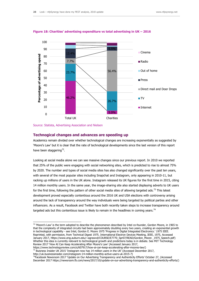

**Figure 18: Charities' advertising expenditure vs total advertising in UK – 2016**



-

#### **Technogical changes and advances are speeding up**

Academics remain divided over whether technological changes are increasing exponentially as suggested by 'Moore's Law' but it is clear that the rate of technological developments since the last version of this report have been staggering $^{72}$ .

Looking at social media alone we can see massive changes since our previous report. In 2010 we reported that 25% of the public were engaging with social networking sites, which is predicted to rise to almost 75% by 2020. The number and types of social media sites has also changed significantly over the past ten years, with several of the most popular sites including Snapchat and Instagram, only appearing in 2010-11, but racking up millions of users in the UK alone. Instagram released its UK figures for the first time in 2015, citing 14 million monthly users. In the same year, the image-sharing site also started displaying adverts to UK users for the first time, following the pattern of other social media sites of allowing targeted ads.<sup>73</sup> This latest development proved especially contentious around the 2016 UK and USA elections with controversy arising around the lack of transparency around the way individuals were being targeted by political parties and other influencers. As a result, Facebook and Twitter have both recently taken steps to increase transparency around targeted ads but this contentious issue is likely to remain in the headlines in coming years.<sup>74</sup>

 $72$  'Moore's Law' is the term adopted to describe the phenomenon described by Intel co-founder, Gordon Moore, in 1965 to that the complexity of integrated circuits had been approximately doubling every two years, creating an exponential growth in technological capability - see Intel, Gordon E. Moore 1975 'Progress in Digital Integrated Electronics.' 1975 IEEE. Reprinted, with permission, from Technical Digest 1975. International Electron Devices Meeting, IEEE, 1975, Accessed January 2017, https://www.eng.auburn.edu/~agrawvd/COURSE/E7770\_Spr07/READ/Gordon\_Moore \_1975\_Speech.pdf) Whether this idea is currently relevant to technological growth and predictions today is in debate. See MIT Technology Review 2017 'How AI Can Keep Accelerating After Moore's Law' (Accessed January 2017,

#### https://www.technologyreview.com/s/607917/how-ai-can-keep-accelerating-after-moores-law/)

http://uk.businessinsider.com/instagram-14-million-monthly-active-users-uk-2015-7)

 $^{73}$  Buisness Insider UK 2015 'Instagram now has 14 million users in the UK' (Accessed December 2017,

<sup>&</sup>lt;sup>74</sup>Facebook Newsroom 2017 'Update on Our Advertising Transparency and Authenticity Efforts' October 27, (Accessed December 2017 https://newsroom.fb.com/news/2017/10/update-on-our-advertising-transparency-and-authenticity-efforts/)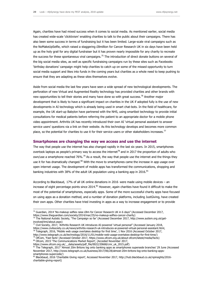Again, charities have had mixed success when it comes to social media. As mentioned earlier, social media has created wide-scale 'clicktivism' enabling charities to talk to the public about their campaigns. There has also been some success in terms of fundraising but it has been limited. Large-scale viral campaigns such as the NoMakeUpSelfie, which raised a staggering £8million for Cancer Research UK in six days have been held up as the holy grail for any digital fundraiser but it has proven nearly impossible for any charity to recreate the success for these spontaneous viral campaigns.<sup>75</sup> The introduction of direct donate buttons on several of the big social media sites, as well as specific fundraising campaigns run by these sites such as Facebooks 'birthday donations' campaign might help charities to catch up on some of the missed opportunity to turn social media support and likes into funds in the coming years but charities as a whole need to keep pushing to ensure that they are adapting as these sites themselves evolve.

Aside from social media the last few years have seen a wide spread of new technological developments. The perforation of new Virtual and Augmented Reality technology has provided charities and other brands with new opportunities to tell their stories and many have done so with great success.<sup>76</sup> Another major development that is likely to have a significant impact on charities in the UK if adopted fully is the use of new developments in AI technology which is already being used in smart chat-bots. In the field of healthcare, for example, the UK start-up Babylon have partnered with the NHS, using smartbot technology to provide initial consultations for medical patients before referring the patient to an appropriate doctor for a mobile phone video appointment. Arthritis UK has recently introduced their own AI 'virtual personal assistant to answer service users' questions via a link on their website. As this technology develops and becomes more common place, so the potential for charities to use it for their service users or other stakeholders increases.<sup>77</sup>

#### **Smartphones are changing the way we access and use the internet**

The way that people use the internet has also changed rapidly in the last six years. In 2015, smartphones overtook laptops as people's primary way to access the internet<sup>78</sup> and in 2017 the proportion of adults who own/use a smartphone reached 76%.<sup>79</sup> As a result, the way that people use the internet and the things they use it for has dramatically changed.<sup>80</sup> With the move to smartphones came the increase in app usage over open internet usage. The development of mobile apps has transformed the communications, shopping and banking industries with 38% of the adult UK population using a banking app in 2016.<sup>81</sup>

According to Blackbaud, 17% of all UK online donations in 2016 were made using mobile devices – an increase of eight percentage points since 2014.<sup>82</sup> However, again charities have found it difficult to make the most of the potential of smartphones, especially apps. Some of the more successful charity apps have focused on using apps as a donation method, and a number of donation platforms, including JustGiving, have created their own apps. Other charities have tried investing in apps as a way to increase engagement or to provide

 $^{78}$  Telegraph, 2016, 'Mobile web usage overtakes desktop for first time', 1 Nov 2016 (Accessed October 2017, http://www.telegraph.co.uk/technology/2016/11/01/mobile-web-usage-overtakes-desktop-for-first-time/)

https://www.ofcom.org.uk/\_\_data/assets/pdf\_file/0022/20668/cmr\_uk\_2015.pdf)

<sup>&</sup>lt;sup>75</sup> Guardian, 2014 'No-makeup selfies raise £8m for Cancer Research UK in 6 days" (Accessed December 2017, https://www.theguardian.com/society/2014/mar/25/no-makeup-selfies-cancer-charity)

<sup>&</sup>lt;sup>76</sup> The National Autistic Society, 'The Campaign so far' (Accessed December 2017, http://www.autism.org.uk/getinvolved/tmi/about.aspx)

 $77$  Civil Society, 2017, 'Arthritis Research UK introduces AI-powered 'virtual personal" (Accessed January 2018, https://www.civilsociety.co.uk/news/arthritis-research-uk-introduces-ai-powered-virtual-personal-assistant.html,

<sup>9</sup> OfCom, 'Fast facts' (Accessed October 2017, https://www.ofcom.org.uk/about-ofcom/latest/media/facts) 80 Ofcom, 2015 'The Communications Market Report', (Acceded November 2017,

<sup>&</sup>lt;sup>81</sup> The Telegraph, 2017 'Almost 20m Britons log onto banking apps as smartphones supersede branches' 29 June (Accessed November 2017, http://www.telegraph.co.uk/business/2017/06/28/almost-20m-britons-log-onto-banking-appssmartphones-supercede/)

<sup>82</sup> Blackbaud, 2016 'Charitable Giving report', Accessed November 2017, http://hub.blackbaud.co.uk/npinsights/2016charitable-giving-report)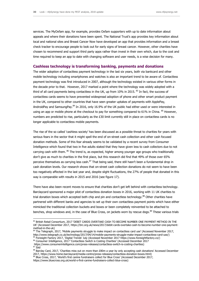services. The MyOxfam app, for example, provides Oxfam supporters with up to date information about appeals and where their donations have been spent. The National Trust's app provides key information about local and national sites and Breast Cancer Now have developed an app that provides information and a breast check tracker to encourage people to look out for early signs of breast cancer. However, other charities have chosen to recommend and support third party apps rather than invest in their own which, due to the cost and time required to keep an app to date with changing software and user needs, is a wise decision for many.

#### **Cashless technology is transforming banking, payments and donations**

The wider adoption of contactless payment technology in the last six years, both via bankcard and other mobile technology including smartphones and watches is also an important trend to be aware of. Contactless payment technology was first introduced in 2007, although the technology existed in various other forms in the decade prior to that. However, 2017 marked a point where the technology was widely adopted with a third of all card payments being contactless in the UK, up from  $10\%$  in 2015.  $^{83}$  In fact, the success of contactless cards seems to have prevented widespread adoption of phone and other smart product payment in the UK, compared to other countries that have seen greater uptakes of payments with ApplePay, AndroidPay and SamsungPay.<sup>84</sup> In 2016, only 16.9% of the UK public had either used or were interested in using an app or mobile phone at the checkout to pay for something compared to 61% in China. <sup>85</sup> However, numbers are predicted to rise, particularly as the £30 limit currently still in place on contactless cards is no longer applicable to contactless mobile payments.

The rise of the so called 'cashless society' has been discussed as a possible threat to charities for years with serious fears in the sector that it might spell the end of on-street cash collection and other cash focused donation methods. Some of this fear already seems to be validated by a recent survey from Consumer Intelligence which found that two in five adults stated that they have given less to cash collectors due to not carrying cash with them. <sup>86</sup> The trend is, as expected, higher among younger age groups who traditionally don't give as much to charities in the first place, but this research did find that 49% of those over 65% perceive themselves as carrying less cash.<sup>87</sup> That being said, there still hasn't been a fundamental drop in cash donation levels. Our research shows that on-street cash collection donations do not seem to have been too negatively affected in the last year and, despite slight fluctuations, the 27% of people that donated in this way is comparable with results in 2015 and 2016 (see figure 17).

There have also been recent moves to ensure that charities don't get left behind with contactless technology. Barclaycard sponsored a major pilot of contactless donation boxes in 2016, working with 11 UK charities to trial donation boxes which accepted both chip and pin and contactless technology.<sup>88</sup> Other charities have partnered with different banks and agencies to set up their own contactless payment points which have either mimicked the traditional collection buckets and boxes or been completely reinvented to be attached to benches, shop windows and, in the case of Blue Cross, on jackets worn by rescue dogs.<sup>89</sup> These various trials

- 86 Consumer Intelligence, 2017 'Contactless Switch is Costing Charities' (Accessed December 2017
- https://www.consumerintelligence.com/press-releases/contactless-switch-is-costing-charities)  $87$  Ibid
- 88 Barclay Card, 2017, 'Charities miss out on more than £80m a year by only accepting cash donations' Accessed December 2017, https://www.home.barclaycard/media-centre/press-releases/contactless-donation-boxes.html)
- 89 Blue Cross, 2017, 'World's first canine fundraisers collect for Blue Cross' (Accessed December 2017,

<sup>83</sup> British Retail Consortium, 2017 'DEBIT CARDS OVERTAKE CASH TO BECOME NUMBER ONE PAYMENT METHOD IN THE UK' (Accessed December 2017, https://brc.org.uk/news/2017/debit-cards-overtake-cash-to-become-number-one-paymentmethod-in-the-uk)

<sup>&</sup>lt;sup>84</sup> The Telegraph, 2017, 'Mobile payments struggle to make impact on contactless card use' (Accessed November 2017, http://www.telegraph.co.uk/technology/2017/04/14/mobile-payments-struggle-make-impact-contactless-card-use/) <sup>85</sup> Foresight Factory 2017, 'Digital Trends' July (Accessed November 2017 https://www.foresightfactory.co/)

https://www.bluecross.org.uk/world-s-first-canine-fundraisers-collect-blue-cross)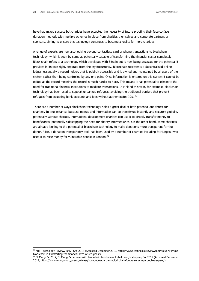have had mixed success but charities have accepted the necessity of future proofing their face-to-face donation methods with multiple schemes in place from charities themselves and corporate partners or sponsors, aiming to ensure this technology continues to become a reality for more charities.

A range of experts are now also looking beyond contactless card or phone transactions to blockchain technology, which is seen by some as potentially capable of transforming the financial sector completely. Block-chain refers to a technology which developed with Bitcoin but is now being assessed for the potential it provides in its own right, separate from the cryptocurrency. Blockchain represents a decentralised online ledger, essentially a record holder, that is publicly accessible and is owned and maintained by all users of the system rather than being controlled by any one point. Once information is entered on this system it cannot be edited as the record meaning the record is much harder to hack. This means it has potential to eliminate the need for traditional financial institutions to mediate transactions. In Finland this year, for example, blockchain technology has been used to support unbanked refugees, avoiding the traditional barriers that prevent refugees from accessing bank accounts and jobs without authenticated IDs. 90

There are a number of ways blockchain technology holds a great deal of both potential and threat for charities. In one instance, because money and information can be transferred instantly and securely globally, potentially without charges, international development charities can use it to directly transfer money to beneficiaries, potentially sidestepping the need for charity intermediaries. On the other hand, some charities are already looking to the potential of blockchain technology to make donations more transparent for the donor. Alice, a donation transparency tool, has been used by a number of charities including St Mungos, who used it to raise money for vulnerable people in London.<sup>91</sup>

<sup>90</sup> MIT Technology Review, 2017, Sep 2017 (Accessed December 2017, https://www.technologyreview.com/s/608764/howblockchain-is-kickstarting-the-financial-lives-of-refugees/)

<sup>91</sup> St Mungo's, 2017, St Mungo's partners with blockchain fundraisers to help rough sleepers, Jul 2017 (Accessed December 2017, https://www.mungos.org/press\_release/st-mungos-partners-blockchain-fundraisers-help-rough-sleepers/)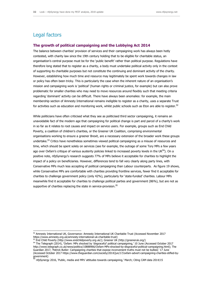## Legal factors

-

#### **The growth of political campaigning and the Lobbying Act 2014**

The balance between charities' provision of services and their campaigning work has always been hotly contested, with charity law since the 19th century holding that to be eligible for charitable status, an organisation's central purpose must be for the 'public benefit' rather than political purpose. Regulations have therefore long stated that to register as a charity, a body must undertake political activity only in the context of supporting its charitable purposes but not constitute the continuing and dominant activity of the charity. However, establishing how much time and resource may legitimately be spent work towards changes in law or policy has often been tricky. This is particularly the case when the inherent nature of an organisation's mission and campaigning work is 'political' (human rights or criminal justice, for example) but can also prove problematic for smaller charities who may need to move resources around flexibly such that meeting criteria regarding 'dominant' activity can be difficult. There have always been anomalies: for example, the main membership section of Amnesty International remains ineligible to register as a charity, uses a separate Trust for activities such as education and monitoring work, whilst public schools such as Eton are able to register. $92$ 

While politicians have often criticised what they see as politicised third sector campaigning, it remains an unavoidable fact of the modern age that campaigning for political change is part and parcel of a charity's work in so far as it relates to root causes and impact on service users. For example, groups such as End Child Poverty, a coalition of children's charities, or the Greener UK Coalition, comprising environmental organisations working to ensure a greener Brexit, are a necessary extension of the broader work these groups undertake.<sup>93</sup> Critics have nonetheless sometimes viewed political campaigning as a misuse of resources and time, which should be spent solely on services (see for example, the outrage of some Tory MPs a few years ago over Oxfam's critique of various austerity policies linked to increased poverty levels in the UK $94$ ). On a positive note, nfpSynergy's research suggests 77% of MPs believe it acceptable for charities to highlight the impact of a policy on beneficiaries. However, differences tend to fall very clearly along party lines, with Conservative MPs much less accepting of political campaigning than Labour counterparts. As figure 19 shows, while Conservative MPs are comfortable with charities providing frontline services, fewer find it acceptable for charities to challenge government policy (only 42%), particularly for 'state-funded' charities. Labour MPs meanwhile find it acceptable for charities to challenge political parties and government (86%), but are not as supportive of charities replacing the state in service-provision.<sup>95</sup>

<sup>92</sup> Amnesty International UK, Governance: Amnesty International UK Charitable Trust (Accessed November 2017 https://www.amnesty.org.uk/amnesty-international-uk-charitable-trust)

<sup>93</sup> End Child Poverty [\(http://www.endchildpoverty.org.uk/\)](http://www.endchildpoverty.org.uk/); Greener UK [\(http://greeneruk.org/\)](http://greeneruk.org/)

<sup>94</sup> The Telegraph (2014), 'Oxfam: MPs shocked by 'disgraceful' political campaigning,' 10 June (Accessed October 2017 [http://www.telegraph.co.uk/news/politics/10888966/Oxfam-MPs-shocked-by-disgraceful-political-campaigning.html\)](http://www.telegraph.co.uk/news/politics/10888966/Oxfam-MPs-shocked-by-disgraceful-political-campaigning.html); The Guardian 2017, 'Patrick Butler: Campaigning charities that expose inconvenient truths must not be bullied,' 17 June (Accessed October 2017 https://www.theguardian.com/society/2014/jun/17/oxfam-advert-campaigning-charities-stifled-bygovernment)

<sup>95</sup> nfpSynergy 2016, 'Public, media and MPs' attitudes towards campaigning,' March; Citing CAM data 2014/15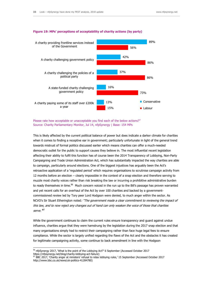

#### **Figure 19: MPs' perceptions of acceptability of charity actions (by party)**

Please rate how acceptable or unacceptable you find each of the below actions?" Source: Charity Parliamentary Monitor, Jul 14, nfpSynergy | Base: 154 MPs

This is likely affected by the current political balance of power but does indicate a darker climate for charities when it comes to finding a receptive ear in government; particularly unfortunate in light of the general trend towards mistrust of formal politics discussed earlier which means charities can offer a much-needed democratic outlet for the public to support causes they believe in. The most influential recent legislation affecting their ability to fulfil this function has of course been the 2014 Transparency of Lobbying, Non-Party Campaigning and Trade Union Administration Act, which has substantially impacted the way charities are able to campaign, particularly around elections. One of the biggest injustices has arguably been the Act's retroactive application of a 'regulated period' which requires organisations to scrutinise campaign activity from 12 months before an election – clearly impossible in the context of a snap election and therefore serving to muzzle most charity voices rather than risk breaking the law or incurring a prohibitive administrative burden to ready themselves in time.<sup>96</sup> Much concern voiced in the run up to the Bill's passage has proven warranted and yet recent calls for an overhaul of the Act by over 100 charities and backed by a governmentcommissioned review led by Tory peer Lord Hodgson were denied, to much anger within the sector. As NCVO's Sir Stuart Etherington noted: "The government made a clear commitment to reviewing the impact of this law, and to now reject any changes out of hand can only weaken the voice of those that charities serve. <sup>87</sup>

While the government continues to claim the current rules ensure transparency and guard against undue influence, charities argue that they were hamstrung by the legislation during the 2017 snap election and that many organisations simply had to restrict their campaigning rather than face huge legal fees to ensure compliance. While the sector is largely unified regarding the flaws of the Act and the obstacles it has created for legitimate campaigning activity, some continue to back amendment in line with the Hodgson

<sup>&</sup>lt;sup>96</sup> nfpSynergy 2017, 'What is the point of the Lobbying Act?' 6 September (Accessed October 2017 https://nfpsynergy.net/blog/charity-lobbying-act-failure)

<sup>97</sup> BBC 2017, 'Charity anger at ministers' refusal to relax lobbying rules,' 15 September (Accessed October 2017 http://www.bbc.co.uk/news/uk-politics-41284780)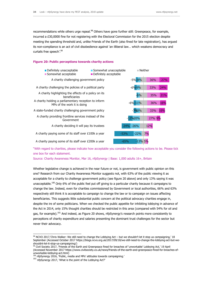recommendations while others urge repeal.<sup>98</sup> Others have gone further still: Greenpeace, for example, incurred a £30,0000 fine for not registering with the Electoral Commission for the 2015 election despite meeting the spending threshold and, unlike Friends of the Earth (also fined for late registration), has argued its non-compliance is an act of civil disobedience against 'an illiberal law… which weakens democracy and curtails free speech'.<sup>99</sup>

#### **Figure 20: Public perceptions towards charity actions**



"With regard to charities, please indicate how acceptable you consider the following actions to be. Please tick one box for each statement.

Source: Charity Awareness Monitor, Mar 16, nfpSynergy | Base: 1,000 adults 16+, Britain

Whether legislative change is achieved in the near future or not, is government with public opinion on this one? Research from our Charity Awareness Monitor suggests not, with 63% of the public viewing it as acceptable for a charity to challenge government policy (see figure 20 above) and only 13% saying it was unacceptable.<sup>100</sup> Only 6% of the public feel put off giving to a particular charity because it campaigns to change the law. Indeed, even for charities commissioned by Government or local authorities, 66% and 63% respectively still think it is acceptable to campaign to change the law or to campaign on issues affecting beneficiaries. This suggests little substantial public concern at the political advocacy charities engage in, despite the ire of some politicians. When we checked the public appetite for inhibiting lobbying in advance of the Act in 2014, only 15% thought charities should be restricted in this area (compared with 54% for oil and gas, for example).<sup>101</sup> And indeed, as Figure 20 shows, nfpSynergy's research points more consistently to perceptions of charity expenditure and salaries presenting the dominant trust challenges for the sector but never their advocacy.

 $98$  NCVO 2017,'Chris Walker: We still need to change the Lobbying Act – but we shouldn't let it stop us campaigning,' 18 September (Accessed October 2017 https://blogs.ncvo.org.uk/2017/09/18/we-still-need-to-change-the-lobbying-act-but-weshouldnt-let-it-stop-us-campaigning/)

<sup>99</sup> Civil Society 2017, 'Friends of the Earth and Greenpeace fined for breaches of 'unworkable' Lobbying Act,' 19 April (Accessed November 2017 https://www.civilsociety.co.uk/news/friends-of-the-earth-and-greenpeace-fined-for-breaches-ofunworkable-lobbying-act.html)

<sup>&</sup>lt;sup>100</sup> nfpSynergy 2016, 'Public, media and MPs' attitudes towards campaigning.'

 $101$  nfpSynergy 2017, 'What is the point of the Lobbying Act?'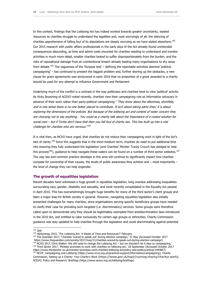In this context, findings that the Lobbying Act has indeed worked towards greater uncertainty, wasted resources as charities struggle to understand the legalities and, most worryingly of all, the silencing of charities apprehensive of falling foul of its stipulations are deeply worrying as we have stated elsewhere.<sup>102</sup> Our 2015 research with public affairs professionals in the early days of the Act already found unintended consequences abounding, as time and admin costs mounted for charities needing to understand and monitor activities in much more detail, smaller charities looked to suffer disproportionately from the burden, and the risks of reputational damage from an unintentional breach already leading many organisations to shy away from debate.<sup>103</sup> The vagueness of the 'Purpose test'  $-$  defining the reportable activities deemed 'political campaigning' – has continued to present the biggest problem and, further shoring up the obstacles, a new clause for grant agreements was announced in early 2016 that no proportion of a grant awarded to a charity should be used for any attempt to influence Government and Parliament.

Underlying much of the conflict is a contrast in the way politicians and charities tend to view 'political' activity. As Vicky Browning of ACEVO noted recently, charities view their campaigning role as informative advocacy in advance of their work rather than party-political campaigning: "They know about the dilemmas, shortfalls, and in one sense there is no one better placed to contribute. It isn't about taking party lines; it is about exploring the dimensions of the policies. But because of the lobbying act and context of wider concern they are choosing not to say anything… You could as a charity talk about the importance of a costed solution for social care – but if Tories don't have that then you fall foul of charity law. This has built up into a real challenge for charities who are nervous."<sup>104</sup>

It is vital then, as NCVO have urged, that charities do not reduce their campaigning work in light of the Act's lack of clarity.<sup>105</sup> Since this suggests that in the short-medium term, charities do need to put additional time into ensuring they fully understand the legislation (and Charities' Minster Tracey Crouch has pledged to help this process<sup>106</sup>), guidance to help navigate these waters can be found on a number of third sector websites.<sup>107</sup> The way law and common practice develops in this area will continue to significantly impact how charities compete for ownership of their causes, the levels of public awareness they achieve and – most importantly – the level of change they can help engender.

#### **The growth of equalities legislation**

Recent decades have witnessed a huge growth in equalities legislation, long overdue addressing inequalities surrounding race, gender, disability and sexuality, and most recently consolidated in the Equality Act passed in April 2010. This has overwhelmingly brought huge benefits for many of the third sector's client groups and been a major leap for British society in general. However, navigating equalities legislation also initially presented challenges for many charities, since organisations serving specific beneficiary groups have needed to clarify their case for providing such targeted (i.e. discriminatory) services. Some groups were therefore called upon to demonstrate why they should be legitimately exempted from antidiscrimination laws introduced in the 2010 Act, and entitled to cater exclusively for certain age groups or ethnicities. Charity Commission guidance was duly updated to help charities through the legislation and avoid discriminating against potential

<sup>104</sup> The Guardian 2017, 'Charities 'scared to speak out' during election campaign,' 31 May (Accessed October 2017 https://www.theguardian.com/society/2017/may/31/charities-scared-to-speak-out-during-election-campaign) 105 NCVO 2017, Chris Walker: We still need to change the Lobbying Act – but we shouldn't let it stop us campaigning.

<sup>-</sup> $102$  Ibid

<sup>103</sup> nfpSynergy 2015, 'The Lobbying Act: A Waste of Time and Resources?' February.

<sup>106</sup> Third Sector 2017, 'Minister promises to work with charities on lobbying act,' 18 September (Accessed October 2017 https://www.thirdsector.co.uk/minister-promises-work-charities-lobbying-act/policy-and-politics/article/1444857) <sup>107</sup> NCVP, Campaigning and Lobbying (https://www.ncvo.org.uk/practical-support/information/campaigning); Charity

Commission, Setting up a Charity: Your Charity's Work (https://www.gov.uk/topic/running-charity/charitys-work); ACEVO, Policy and Research: Briefings (https://www.acevo.org.uk/lobbying/briefings)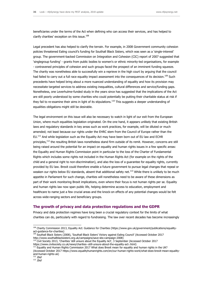beneficiaries under the terms of the Act when defining who can access their services, and has helped to clarify charities' exception on this issue.<sup>108</sup>

Legal precedent has also helped to clarify the terrain. For example, in 2008 Government community cohesion policies threatened Ealing council's funding for Southall Black Sisters, which was seen as a 'single-interest' group. The government-backed Commission on Integration and Cohesion (CIC) report of 2007 suggested that 'singlegroup funding' - grants from public bodies to women's or ethnic minority-led organisations, for example - contravened principles of cohesion and such groups faced the prospect of an imminent funding squeeze. The charity was nonetheless able to successfully win a reprieve in the high court by arguing that the council had failed to carry out a full race equality impact assessment into the consequences of its decision.<sup>109</sup> Such precedents have helped bring about a more nuanced understanding of equality and how its provision may necessitate targeted services to address existing inequalities, cultural differences and service/funding gaps. Nonetheless, one Leverhulme-funded study in the years since has suggested that the implications of the Act are still poorly understood by some charities who could potentially be putting their charitable status at risk if they fail to re-examine their aims in light of its stipulations.<sup>110</sup> This suggests a deeper understanding of equalities obligations might still be desirable.

The legal environment on this issue will also be necessary to watch in light of our exit from the European Union, where much equalities legislation originated. On the one hand, it appears unlikely that existing British laws and regulatory standards in key areas such as work practices, for example, will be diluted or much amended; not least because our rights under the EHRC stem from the Council of Europe rather than the EU.<sup>111</sup> And while legislation such as the Equality Act may have been born out of EU law and ECHR principles,<sup>112</sup> the resulting British laws nonetheless stand firm outside of its remit. However, concerns are still being raised around the potential for an impact on equality and human rights issues in a few specific areas: the Equality and Human Rights Commission point in particular to the loss of the Charter of Fundamental Rights which includes some rights not included in the Human Rights Act (for example on the rights of the child and a general right to non-discrimination), and also the loss of a guarantee for equality rights, currently provided by EU law. Brexit could therefore enable a future government to pursue legal changes that repeal or weaken our rights below EU standards, absent that additional safety net.<sup>113</sup> While there is unlikely to be much appetite in Parliament for such change, charities will nonetheless need to be aware of these dimensions as part of their work monitoring Brexit implications, even where their focus is not human rights per se. Equality and human rights law now span public life, helping determine access to education, employment and healthcare to name just a few crucial areas and the knock-on effects of any potential changes would be felt across wide-ranging sectors and beneficiary groups.

#### **The growth of privacy and data protection regulations and the GDPR**

Privacy and data protection regimes have long been a crucial regulatory context for the limits of what charities can do, particularly with regard to fundraising. The law over recent decades has become increasingly

<sup>111</sup> Equality and Human Rights Commission 2017 What does Brexit mean for equality and human rights in the UK? (Accessed October 2017 https://www.equalityhumanrights.com/en/our-human-rights-work/what-does-brexit-mean-equalityand-human-rights-uk)  $112$  *Ibid* 

<sup>108</sup> Charity Commission 2013, Equality Act: Guidance for Charities (https://www.gov.uk/government/publications/equalityact-guidance-for-charities)

<sup>109</sup> Southall Black Sisters (2008), 'Southall Black Sisters' Victory against Ealing Council' (Accessed October 2017 http://www.southallblacksisters.org.uk/campaigns/save-sbs-campaign-2008)

<sup>&</sup>lt;sup>110</sup> Civil Society 2013, 'Charities 'still unsure about the Equality Act', 3 September (Accessed October 2017 https://www.civilsociety.co.uk/news/charities--still-unsure-about-the-equality-act-.html)

 $\overrightarrow{113}$  *Ibid*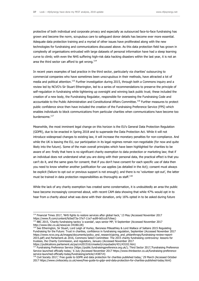protective of both individual and corporate privacy and especially as outsourced face-to-face fundraising has grown and become the norm, scrupulous care to safeguard donor details has become ever more essential. Adequate data protection training and a myriad of other issues have proliferated along with the new technologies for fundraising and communications discussed above. As this data protection field has grown in complexity all organisations entrusted with large datasets of personal information have had a steep learning curve to climb; with even the NHS suffering high-risk data hacking disasters within the last year, it is not an area the third sector can afford to get wrong.<sup>114</sup>

In recent years examples of bad practice in the third sector, particularly via charities' outsourcing to commercial companies who have sometimes been unscrupulous in their methods, have attracted a lot of media and political attention.<sup>115</sup> Further investigation during 2015, through both a Commons inquiry and a review led by NCVO's Sir Stuart Etherington, led to a series of recommendations to preserve the principle of self-regulation in fundraising while tightening up oversight and winning back public trust; these included the creation of a new body, the Fundraising Regulator, responsible for overseeing the Fundraising Code and accountable to the Public Administration and Constitutional Affairs Committee.<sup>116</sup> Further measures to protect public confidence since then have included the creation of the Fundraising Preference Service (FPS) which enables individuals to block communications from particular charities when communications have become too burdensome. 117

Meanwhile, the most imminent legal change on this horizon is the EU's General Data Protection Regulation (GDPR), due to be enacted in Spring 2018 and to supersede the Data Protection Act. While it will not introduce widespread changes to existing law, it will increase the monetary penalties for non-compliance. And while the UK is leaving the EU, our participation in its legal regimes remain non-negotiable (for now and quite likely into the future). Some of the main overall principles which have been highlighted for charities to be aware of are: firstly that here is no significant charity exemption to data protection or marketing law; that if an individual does not understand what you are doing with their personal data, the practical effect is that you can't do it, and the same goes for consent; that if you don't have consent for each specific use of data then you need to know whether another justification for use applies (as detailed in the Act); consent must always be explicit (failure to opt out or previous support is not enough); and there is no 'volunteer opt-out', the latter must be trained in data protection responsibilities as thoroughly as staff.<sup>118</sup>

While the lack of any charity exemption has created some consternation, it is undoubtedly an area the public have become increasingly concerned about, with recent CAM data showing that while 47% would opt in to hear from a charity about what was done with their donation, only 16% opted in to be asked during future

<sup>&</sup>lt;sup>114</sup> Financial Times 2017, 'NHS fights to restore services after global hack,' 13 May (Accessed November 2017 https://www.ft.com/content/fa5ed73a-37e7-11e7-ac89-b01cc67cfeec)

<sup>115</sup> BBC 2015, 'Charity fundraising tactics 'a scandal', says senior MP,' 8 September (Accessed November 2017 http://www.bbc.co.uk/news/uk-34186128)

<sup>&</sup>lt;sup>116</sup> See Etherington, Sir Stuart, Lord Leigh of Hurley, Baroness Pitkeathley & Lord Wallace of Saltaire 2015 Regulating Fundraising for the Future: Trust in charities, confidence in fundraising regulation, September (Accessed November 2017 https://www.ncvo.org.uk/images/documents/policy\_and\_research/giving\_and\_philanthropy/fundraising-review-report-2015.pdf) and Parliament.uk 2016, Commons Select Committee: The 2015 charity fundraising controversy: lessons for trustees, the Charity Commission, and regulators, January (Accessed November 2017 https://publications.parliament.uk/pa/cm201516/cmselect/cmpubadm/431/43102.htm)

<sup>&</sup>lt;sup>117</sup> Fundraising Preference Service [\(https://public.fundraisingpreference.org.uk/\)](https://public.fundraisingpreference.org.uk/); Third Sector 2017, Fundraising Preference Service launched officially today,' 6 July (Accessed November 2017 https://www.thirdsector.co.uk/fundraising-preferenceservice-launched-officially-today/fundraising/article/1438714)

<sup>&</sup>lt;sup>118</sup> Civil Society 2017,' Free guide to GDPR and data protection for charities published today,' 29 March (Accessed October 2017 https://www.civilsociety.co.uk/news/free-guide-to-gdpr-and-data-protection-for-charities-published-today.html)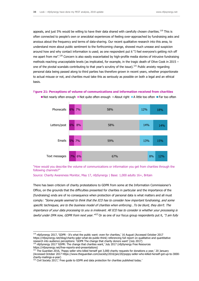appeals, and just 5% would be willing to have their data shared with carefully chosen charities.<sup>119</sup> This is often connected to people's own or anecdotal experiences of feeling over-approached by fundraising asks and anxious about the frequency and terms of data-sharing. Our recent qualitative research into this area, to understand more about public sentiment to the forthcoming change, showed much unease and suspicion around how and why contact information is used; as one respondent put it "I feel everyone's getting rich off me apart from me".<sup>120</sup> Concern is also easily exacerbated by high-profile media stories of intrusive fundraising methods reaching unacceptable levels (as implicated, for example, in the tragic death of Olive Cook in 2015 – one of the pivotal scandals contributing to that year's scrutiny of the issue).<sup>121</sup> Public anxiety regarding personal data being passed along to third parties has therefore grown in recent years, whether proportionate to actual misuse or not, and charities must take this as seriously as possible on both a legal and an ethical basis.

#### Fi**gure 21: Perceptions of volume of communications and information received from charities**



Not nearly often enough  $\blacksquare$  Not quite often enough  $\blacksquare$  About right  $\blacksquare$  A little too often  $\blacksquare$  Far too often

"How would you describe the volume of communications or information you get from charities through the following channels?"

Source: Charity Awareness Monitor, May 17, nfpSynergy | Base: 1,000 adults 16+, Britain

There has been criticism of charity protestations to GDPR from some at the Information Commissioner's Office, on the grounds that the difficulties presented for charities in particular and the importance of the (fundraising) ends are of no consequence when protection of personal data is what matters and all must comply: "Some people seemed to think that the ICO has to consider how important fundraising, and some specific techniques, are to the business model of charities when enforcing…To be blunt, they don't. The importance of your data processing to you is irrelevant. All ICO has to consider is whether your processing is lawful under DPA now, GDPR from next year. "<sup>122</sup> Or as one of our focus group respondents put it, "I am fully

<sup>120</sup> nfpSynergy 2017 'GDPR: The change that charities want,' July 2017 (nfpSynergy Free Resources https://nfpsynergy.net/free-reports-and-presentations)

<sup>119</sup> nfpSynergy 2017, 'GDPR - It's what the public want: even for charities,' 16 August (Accessed October 2017 [https://nfpsynergy.net/blog/charity-gdpr-what-do-public-think\)](https://nfpsynergy.net/blog/charity-gdpr-what-do-public-think) referencing full report on qualitative and quantitative research into audience perceptions: 'GDPR The change that charity donors want' (July 2017)

<sup>121</sup> The Guardian 2016, 'Poppy seller who killed herself got 3,000 charity requests for donations a year,' 20 January (Accessed October 2017 https://www.theguardian.com/society/2016/jan/20/poppy-seller-who-killed-herself-got-up-to-3000 charity-mailings-a-year)

 $122$  Civil Society 2017,' Free guide to GDPR and data protection for charities published today.'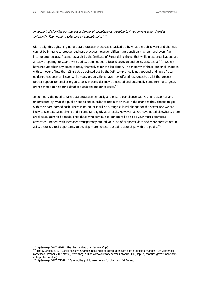in support of charities but there is a danger of complacency creeping in if you always treat charities differently. They need to take care of people's data."<sup>123</sup>

Ultimately, this tightening up of data protection practices is backed up by what the public want and charities cannot be immune to broader business practices however difficult the transition may be - and even if an income drop ensues. Recent research by the Institute of Fundraising shows that while most organisations are already preparing for GDPR, with audits, training, board-level discussion and policy updates, a fifth (22%) have not yet taken any steps to ready themselves for the legislation. The majority of these are small charities with turnover of less than £1m but, as pointed out by the IoF, compliance is not optional and lack of clear guidance has been an issue. While many organisations have now offered resources to assist the process, further support for smaller organisations in particular may be needed and potentially some form of targeted grant scheme to help fund database updates and other costs.<sup>124</sup>

In summary the need to take data protection seriously and ensure compliance with GDPR is essential and underscored by what the public need to see in order to retain their trust in the charities they choose to gift with their hard-earned cash. There is no doubt it will be a tough cultural change for the sector and we are likely to see databases shrink and income fall slightly as a result. However, as we have noted elsewhere, there are flipside gains to be made since those who continue to donate will do so as your most committed advocates. Indeed, with increased transparency around your use of supporter data and more creative opt-in asks, there is a real opportunity to develop more honest, trusted relationships with the public.<sup>125</sup>

<sup>&</sup>lt;sup>123</sup> nfpSynergy 2017 'GDPR: The change that charities want', p8.

<sup>&</sup>lt;sup>124</sup> The Guardian 2017, 'Daniel Fluskey: Charities need help to get to grips with data protection changes,' 29 September (Accessed October 2017 https://www.theguardian.com/voluntary-sector-network/2017/sep/29/charities-government-helpdata-protection-law)

 $125$  nfpSynergy 2017, 'GDPR - It's what the public want: even for charities,' 16 August.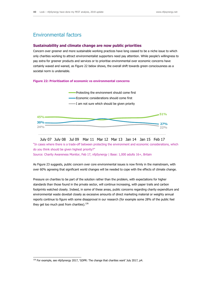## Environmental factors

#### **Sustainability and climate change are now public priorities**

Concern over greener and more sustainable working practices have long ceased to be a niche issue to which only charities working to attract environmentalist supporters need pay attention. While people's willingness to pay extra for greener products and services or to prioritise environmental over economic concerns have certainly waxed and waned, as Figure 22 below shows, the overall shift towards green consciousness as a societal norm is undeniable.

#### **Figure 22: Prioritisation of economic vs environmental concerns**



"In cases where there is a trade-off between protecting the environment and economic considerations, which do you think should be given highest priority?" Source: Charity Awareness Monitor, Feb 17, nfpSynergy | Base: 1,000 adults 16+, Britain July 07 July 08 Jul 09 Mar 11 Mar 12 Mar 13 Jan 14 Jan 15 Feb 17

As Figure 23 suggests, public concern over core environmental issues is now firmly in the mainstream, with over 60% agreeing that significant world changes will be needed to cope with the effects of climate change.

Pressure on charities to be part of the solution rather than the problem, with expectations for higher standards than those found in the private sector, will continue increasing, with paper trails and carbon footprints watched closely. Indeed, in some of these areas, public concerns regarding charity expenditure and environmental waste dovetail closely as excessive amounts of direct marketing material or weighty annual reports continue to figure with some disapproval in our research (for example some 28% of the public feel they get too much post from charities). $126$ 

 $126$  For example, see nfpSynergy 2017, 'GDPR: The change that charities want' July 2017, p4.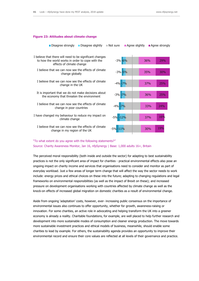#### 30% 37% 33% 36% 37% 35% 36% 19% 16% 24% 25% 25% 30% 29% -5% -11% -12% -5% -7% -7% -7% -5% -3% <mark>-6%</mark> -4% -3% -4% -3% I believe that we can now see the effects of climate I have changed my behaviour to reduce my impact on climate change I believe that we can now see the effects of climate change in poor countries It is important that we do not make decisions about the economy that threaten the environment I believe that we can now see the effects of climate change in the UK I believe that we can now see the effects of climate change globally I believe that there will need to be significant changes to how the world works in order to cope with the effects of climate change Disagree strongly Disagree slightly Not sure Agree slightly Agree strongly

#### **Figure 23: Attitudes about climate change**

#### "To what extent do you agree with the following statements?" Source: Charity Awareness Monitor, Jan 16, nfpSynergy | Base: 1,000 adults 16+, Britain

change in my region of the UK

The perceived moral responsibility (both inside and outside the sector) for adapting to best sustainability practices is not the only significant area of impact for charities - practical environmental effects also pose an ongoing impact on charity income and services that organisations need to consider and monitor as part of everyday workload. Just a few areas of longer term change that will affect the way the sector needs to work include: energy prices and ethical choices on these into the future; adapting to changing regulations and legal frameworks on environmental responsibilities (as well as the impact of Brexit on these); and increased pressure on development organisations working with countries affected by climate change as well as the knock-on effects of increased global migration on domestic charities as a result of environmental change.

Aside from ongoing 'adaptation' costs, however, ever- increasing public consensus on the importance of environmental issues also continues to offer opportunity, whether for growth, awareness-raising or innovation. For some charities, an active role in advocating and helping transform the UK into a greener economy is already a reality. Charitable foundations, for example, are well placed to help further research and development into more sustainable modes of consumption and cleaner energy production. The move towards more sustainable investment practices and ethical models of business, meanwhile, should enable some charities to lead by example. For others, the sustainability agenda provides an opportunity to improve their environmental record and ensure their core values are reflected at all levels of their governance and practice.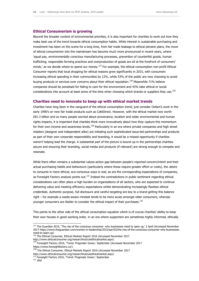#### **Ethical Consumerism is growing**

Beyond the broader context of environmental priorities, it is also important for charities to work out how they make best use of the trend towards ethical consumption habits. While interest in sustainable purchasing and investment has been on the scene for a long time, from fair trade teabags to ethical pension plans, the move of ethical consumerism into the mainstream has become much more pronounced in recent years, where 'equal pay, environmentally conscious manufacturing processes, prevention of counterfeit goods, human trafficking, responsible farming practices and overproduction of goods are all at the forefront of consumers' minds,' as we decide where to spend our money.<sup>127</sup> For example, the ethical consumption non-profit Ethical Consumer reports that local shopping for ethical reasons grew significantly in 2015, with consumers increasing ethical spending in their communities by 12%, while 53% of the public are now choosing to avoid buying products or services over concerns about their ethical reputation.<sup>128</sup> Meanwhile 71% believe companies should be penalised for failing to care for the environment and 43% take ethical or social considerations into account at least some of the time when choosing which brands or suppliers they use.<sup>129</sup>

#### **Charities need to innovate to keep up with ethical market trends**

Charities have long been in the vanguard of the ethical consumption trend; just consider Oxfam's work in the early 1990's on new fair trade products such as CafeDirect. However, with the ethical market now worth £81.3 billion and so many people worried about provenance, localism and wider environmental and human rights impacts, it is important that charities think more innovatively about how they capture this momentum for their own income and awareness levels.<sup>130</sup> Particularly in an era where private companies and high street retailers (designer and independent alike) are initiating such sophisticated issue-led partnerships and products as part of their own corporate responsibility and branding, it would be a missed opportunity if charities weren't helping lead the charge. A substantial part of the picture is bound up in the partnerships charities secure and ensuring their branding, social media and products (if relevant) are strong enough to compete and resonate.

While there often remains a substantial values-action gap between people's reported concern/intent and their actual purchasing habits and behaviours (particularly where these require greater effort or costs), the *desire* to consume in more ethical, eco-conscious ways is real; as are the corresponding expectations of companies, as Foresight Factory analysis points out.<sup>131</sup> Indeed the contradictions in public sentiment regarding ethical considerations can often place a high burden on organisations of all sectors, who are expected to continue delivering value and meeting efficiency expectations whilst demonstrating increasingly flawless ethical credentials. Authentic purpose, full disclosure and careful targeting are key to a brand getting this balance right – for example a waste-aware mindset tends to be more acute amongst older consumers, whereas younger consumers are likelier to consider the ethical impact of their purchases.<sup>132</sup>

This points to the other side of the ethical consumption equation which is of course charities' ability to keep their own houses in good working order, in an era where supporters are sometimes highly informed, ethically

https://www.foresightfactory.co/)

 $132$  *Ibid* 

 $127$  The Guardian 2015, 'The rise of the conscious consumer: why businesses need to open up,' 2 April (Accessed November 2017 https://www.theguardian.com/women-in-leadership/2015/apr/02/the-rise-of-the-conscious-consumer-why-businessesneed-to-open-up)

<sup>&</sup>lt;sup>128</sup> The Ethical Consumer, Ethical Markets Report 2016 (Accessed November 2017 http://www.ethicalconsumer.org/researchhub/ukethicalmarket.aspx)

<sup>&</sup>lt;sup>129</sup> Foresight Factory 2016, 'Trend: Pragmatic Green,' September (Accessed November 2017

<sup>&</sup>lt;sup>130</sup> The Ethical Consumer, Ethical Markets Report 2016 (Accessed November 2017

http://www.ethicalconsumer.org/researchhub/ukethicalmarket.aspx)

 $1$  Foresight Factory 2016, 'Trend: Pragmatic Green,' September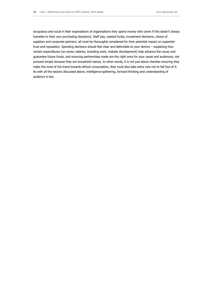scrupulous and vocal in their expectations of organisations they spend money with (even if this doesn't always translate to their own purchasing decisions). Staff pay, wasted funds, investment decisions, choice of suppliers and corporate partners: all must be thoroughly considered for their potential impact on supporter trust and reputation. Spending decisions should feel clear and defensible to your donors – explaining how certain expenditures (on senior salaries, branding work, website development) help advance the cause and guarantee future funds, and ensuring partnerships made are the right ones for your cause and audiences, not pursued simply because they are household names. In other words, it is not just about charities ensuring they make the most of the trend towards ethical consumption, they must also take extra care not to fall foul of it. As with all the sectors discussed above, intelligence-gathering, forward thinking and understanding of audience is key.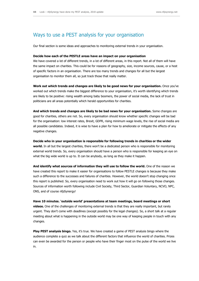## Ways to use a PEST analysis for your organisation

Our final section is some ideas and approaches to monitoring external trends in your organisation.

#### **Decide how each of the PESTLE areas have an impact on your organisation**

We have covered a lot of different trends, in a lot of different areas, in this report. Not all of them will have the same impact on charities. This could be for reasons of geography, size, income sources, cause, or a host of specific factors in an organisation. There are too many trends and changes for all but the largest organisation to monitor them all, so just track those that really matter.

**Work out which trends and changes are likely to be good news for your organisation.** Once you've worked out which trends make the biggest difference to your organisation, it's worth identifying which trends are likely to be positive: rising wealth among baby boomers, the power of social media, the lack of trust in politicians are all areas potentially which herald opportunities for charities.

**And which trends and changes are likely to be bad news for your organisation.** Some changes are good for charities, others are not. So, every organisation should know whether specific changes will be bad for the organisation: low interest rates, Brexit, GDPR, rising minimum wage levels, the rise of social media are all possible candidates. Indeed, it is wise to have a plan for how to ameliorate or mitigate the effects of any negative changes.

**Decide who in your organisation is responsible for following trends in charities or the wider world.** In all but the largest charities, there won't be a dedicated person who is responsible for monitoring external world trends. So, every organisation should have a person who is responsible for keeping an eye on what the big wide world is up to. It can be anybody, as long as they make it happen.

**And identify what sources of information they will use to follow the world.** One of the reason we have created this report to make it easier for organisations to follow PESTLE changes is because they make such a difference to the successes and failures of charities. However, the world doesn't stop changing once this report is published. So, every organisation need to work out how it will go on following those changes. Sources of information worth following include Civil Society, Third Sector, Guardian Voluntary, NCVO, NPC, ONS, and of course nfpSynergy!

**Have 10 minutes. 'outside world' presentations at team meetings, board meetings or short videos.** One of the challenges of monitoring external trends is that they are really important, but rarely urgent. They don't come with deadlines (except possibly for the legal changes). So, a short talk at a regular meeting about what is happening in the outside world may be one way of keeping people in touch with any changes.

**Play PEST analysis bingo.** Yes, it's true. We have created a game of PEST analysis bingo where the audience complete a quiz as we talk about the different factors that influence the world of charities. Prizes can even be awarded for the person or people who have their finger most on the pulse of the world we live in.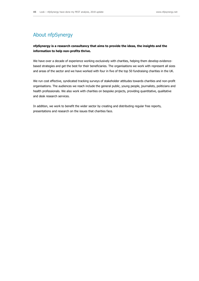## About nfpSynergy

#### **nfpSynergy is a research consultancy that aims to provide the ideas, the insights and the information to help non-profits thrive.**

We have over a decade of experience working exclusively with charities, helping them develop evidencebased strategies and get the best for their beneficiaries. The organisations we work with represent all sizes and areas of the sector and we have worked with four in five of the top 50 fundraising charities in the UK.

We run cost effective, syndicated tracking surveys of stakeholder attitudes towards charities and non-profit organisations. The audiences we reach include the general public, young people, journalists, politicians and health professionals. We also work with charities on bespoke projects, providing quantitative, qualitative and desk research services.

In addition, we work to benefit the wider sector by creating and distributing regular free reports, presentations and research on the issues that charities face.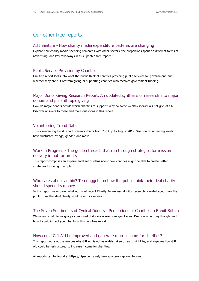## Our other free reports:

#### Ad Infinitum - How charity media expenditure patterns are changing

Explore how charity media spending compares with other sectors, the proportions spent on different forms of advertising, and key takeaways in this updated free report.

#### Public Service Provision by Charities

Our free report looks into what the public think of charities providing public services for government, and whether they are put off from giving or supporting charities who receives government funding.

#### Major Donor Giving Research Report: An updated synthesis of research into major donors and philanthropic giving

How do major donors decide which charities to support? Why do some wealthy individuals not give at all? Discover answers to these and more questions in this report.

#### Volunteering Trend Data

This volunteering trend report presents charts from 2003 up to August 2017. See how volunteering levels have fluctuated by age, gender, and more.

#### Work in Progress - The golden threads that run through strategies for mission delivery in not for profits

This report comprises an experimental set of ideas about how charities might be able to create better strategies for doing their job.

#### Who cares about admin? Ten nuggets on how the public think their ideal charity should spend its money

In this report we uncover what our most recent Charity Awareness Monitor research revealed about how the public think the ideal charity would spend its money.

#### The Seven Sentiments of Cynical Donors - Perceptions of Charities in Brexit Britain

We recently held focus groups comprised of donors across a range of ages. Discover what they thought and how it could impact your charity in this new free report.

#### How could Gift Aid be improved and generate more income for charities?

This report looks at the reasons why Gift Aid is not as widely taken up as it might be, and explores how Gift Aid could be restructured to increase income for charities.

All reports can be found at https://nfpsynergy.net/free-reports-and-presentations